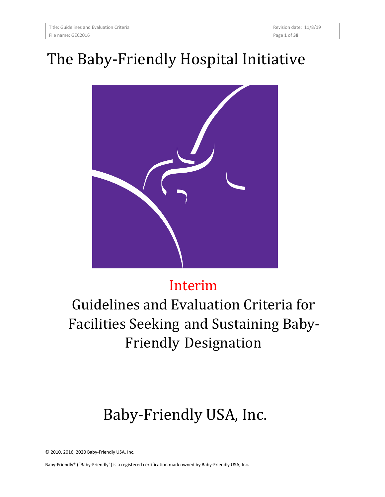| Title: Guidelines and Evaluation Criteria | Revision date: 11/8/19 |
|-------------------------------------------|------------------------|
| File name: GEC2016                        | Page 1 of 38           |

# The Baby-Friendly Hospital Initiative



# Interim

Guidelines and Evaluation Criteria for Facilities Seeking and Sustaining Baby-Friendly Designation

# Baby-Friendly USA, Inc.

© 2010, 2016, 2020 Baby-Friendly USA, Inc.

Baby-Friendly® ("Baby-Friendly") is a registered certification mark owned by Baby-Friendly USA, Inc.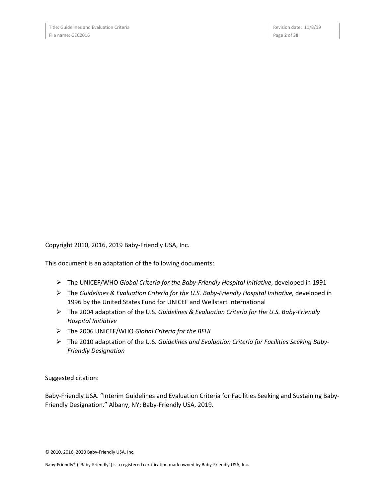| Title: Guidelines and Evaluation Criteria | Revision date: 11/8/19 |
|-------------------------------------------|------------------------|
| File name: GEC2016                        | Page 2 of 38           |

Copyright 2010, 2016, 2019 Baby-Friendly USA, Inc.

This document is an adaptation of the following documents:

- The UNICEF/WHO *Global Criteria for the Baby-Friendly Hospital Initiative*, developed in 1991
- The *Guidelines & Evaluation Criteria for the U.S. Baby-Friendly Hospital Initiative,* developed in 1996 by the United States Fund for UNICEF and Wellstart International
- The 2004 adaptation of the U.S. *Guidelines & Evaluation Criteria for the U.S. Baby-Friendly Hospital Initiative*
- The 2006 UNICEF/WHO *Global Criteria for the BFHI*
- The 2010 adaptation of the U.S. *Guidelines and Evaluation Criteria for Facilities Seeking Baby-Friendly Designation*

Suggested citation:

Baby-Friendly USA. "Interim Guidelines and Evaluation Criteria for Facilities Seeking and Sustaining Baby-Friendly Designation." Albany, NY: Baby-Friendly USA, 2019.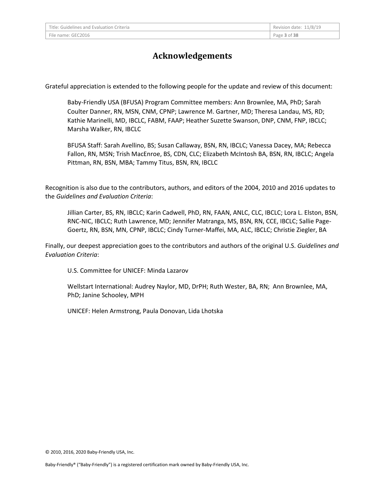## **Acknowledgements**

Grateful appreciation is extended to the following people for the update and review of this document:

Baby-Friendly USA (BFUSA) Program Committee members: Ann Brownlee, MA, PhD; Sarah Coulter Danner, RN, MSN, CNM, CPNP; Lawrence M. Gartner, MD; Theresa Landau, MS, RD; Kathie Marinelli, MD, IBCLC, FABM, FAAP; Heather Suzette Swanson, DNP, CNM, FNP, IBCLC; Marsha Walker, RN, IBCLC

BFUSA Staff: Sarah Avellino, BS; Susan Callaway, BSN, RN, IBCLC; Vanessa Dacey, MA; Rebecca Fallon, RN, MSN; Trish MacEnroe, BS, CDN, CLC; Elizabeth McIntosh BA, BSN, RN, IBCLC; Angela Pittman, RN, BSN, MBA; Tammy Titus, BSN, RN, IBCLC

Recognition is also due to the contributors, authors, and editors of the 2004, 2010 and 2016 updates to the *Guidelines and Evaluation Criteria*:

Jillian Carter, BS, RN, IBCLC; Karin Cadwell, PhD, RN, FAAN, ANLC, CLC, IBCLC; Lora L. Elston, BSN, RNC-NIC, IBCLC; Ruth Lawrence, MD; Jennifer Matranga, MS, BSN, RN, CCE, IBCLC; Sallie Page-Goertz, RN, BSN, MN, CPNP, IBCLC; Cindy Turner-Maffei, MA, ALC, IBCLC; Christie Ziegler, BA

Finally, our deepest appreciation goes to the contributors and authors of the original U.S. *Guidelines and Evaluation Criteria*:

U.S. Committee for UNICEF: Minda Lazarov

Wellstart International: Audrey Naylor, MD, DrPH; Ruth Wester, BA, RN; Ann Brownlee, MA, PhD; Janine Schooley, MPH

UNICEF: Helen Armstrong, Paula Donovan, Lida Lhotska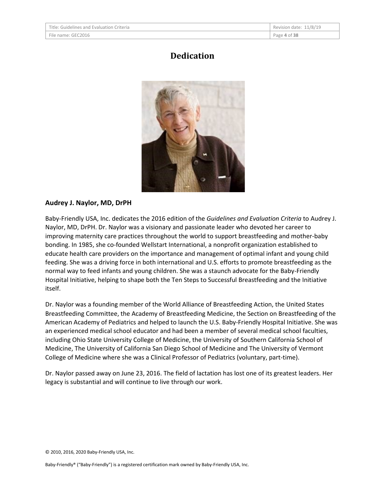| Title: Guidelines and Evaluation Criteria | Revision date: 11/8/19 |
|-------------------------------------------|------------------------|
| File name: GEC2016                        | Page 4 of 38           |

## **Dedication**



#### **Audrey J. Naylor, MD, DrPH**

Baby-Friendly USA, Inc. dedicates the 2016 edition of the *Guidelines and Evaluation Criteria* to Audrey J. Naylor, MD, DrPH. Dr. Naylor was a visionary and passionate leader who devoted her career to improving maternity care practices throughout the world to support breastfeeding and mother-baby bonding. In 1985, she co-founded Wellstart International, a nonprofit organization established to educate health care providers on the importance and management of optimal infant and young child feeding. She was a driving force in both international and U.S. efforts to promote breastfeeding as the normal way to feed infants and young children. She was a staunch advocate for the Baby-Friendly Hospital Initiative, helping to shape both the Ten Steps to Successful Breastfeeding and the Initiative itself.

Dr. Naylor was a founding member of the World Alliance of Breastfeeding Action, the United States Breastfeeding Committee, the Academy of Breastfeeding Medicine, the Section on Breastfeeding of the American Academy of Pediatrics and helped to launch the U.S. Baby-Friendly Hospital Initiative. She was an experienced medical school educator and had been a member of several medical school faculties, including Ohio State University College of Medicine, the University of Southern California School of Medicine, The University of California San Diego School of Medicine and The University of Vermont College of Medicine where she was a Clinical Professor of Pediatrics (voluntary, part-time).

Dr. Naylor passed away on June 23, 2016. The field of lactation has lost one of its greatest leaders. Her legacy is substantial and will continue to live through our work.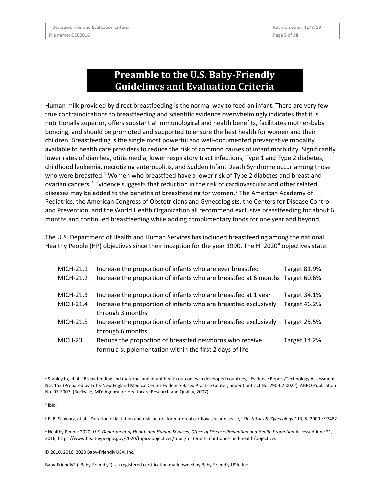## **Preamble to the U.S. Baby-Friendly Guidelines and Evaluation Criteria**

Human milk provided by direct breastfeeding is the normal way to feed an infant. There are very few true contraindications to breastfeeding and scientific evidence overwhelmingly indicates that it is nutritionally superior, offers substantial immunological and health benefits, facilitates mother-baby bonding, and should be promoted and supported to ensure the best health for women and their children. Breastfeeding is the single most powerful and well-documented preventative modality available to health care providers to reduce the risk of common causes of infant morbidity. Significantly lower rates of diarrhea, otitis media, lower respiratory tract infections, Type 1 and Type 2 diabetes, childhood leukemia, necrotizing enterocolitis, and Sudden Infant Death Syndrome occur among those who were breastfed.<sup>[1](#page-4-0)</sup> Women who breastfeed have a lower risk of Type 2 diabetes and breast and ovarian cancers.[2](#page-4-1) Evidence suggests that reduction in the risk of cardiovascular and other related diseases may be added to the benefits of breastfeeding for women.<sup>[3](#page-4-2)</sup> The American Academy of Pediatrics, the American Congress of Obstetricians and Gynecologists, the Centers for Disease Control and Prevention, and the World Health Organization all recommend exclusive breastfeeding for about 6 months and continued breastfeeding while adding complimentary foods for one year and beyond.

The U.S. Department of Health and Human Services has included breastfeeding among the national Healthy People (HP) objectives since their inception for the year 1990. The HP2020<sup>[4](#page-4-3)</sup> objectives state:

| MICH-21.1 | Increase the proportion of infants who are ever breastfed                                                          | <b>Target 81.9%</b> |
|-----------|--------------------------------------------------------------------------------------------------------------------|---------------------|
| MICH-21.2 | Increase the proportion of infants who are breastfed at 6 months Target 60.6%                                      |                     |
| MICH-21.3 | Increase the proportion of infants who are breastfed at 1 year                                                     | <b>Target 34.1%</b> |
| MICH-21.4 | Increase the proportion of infants who are breastfed exclusively<br>through 3 months                               | <b>Target 46.2%</b> |
| MICH-21.5 | Increase the proportion of infants who are breastfed exclusively<br>through 6 months                               | Target 25.5%        |
| MICH-23   | Reduce the proportion of breastfed newborns who receive<br>formula supplementation within the first 2 days of life | <b>Target 14.2%</b> |

<span id="page-4-0"></span> <sup>1</sup> Stanley Ip, et al. "Breastfeeding and maternal and infant health outcomes in developed countries," Evidence Report/Technology Assessment NO. 153 (Prepared by Tufts-New England Medical Center Evidence-Based Practice Center, under Contract No. 290-02-0022), AHRQ Publication No. 07-E007, (Rockville, MD: Agency for Healthcare Research and Quality, 2007).

<span id="page-4-1"></span> $2$  Ibid.

<span id="page-4-2"></span><sup>3</sup> E. B. Schwarz, et al. "Duration of lactation and risk factors for maternal cardiovascular disease," *Obstetrics & Gynecology* 113, 5 (2009): 97482.

<span id="page-4-3"></span><sup>4</sup> Healthy People 2020, *U.S. Department of Health and Human Services, Office of Disease Prevention and Health Promotion* Accessed June 21, 2016, https://www.healthypeople.gov/2020/topics-objectives/topic/maternal-infant-and-child-health/objectives

<sup>© 2010, 2016, 2020</sup> Baby-Friendly USA, Inc.

Baby-Friendly® ("Baby-Friendly") is a registered certification mark owned by Baby-Friendly USA, Inc.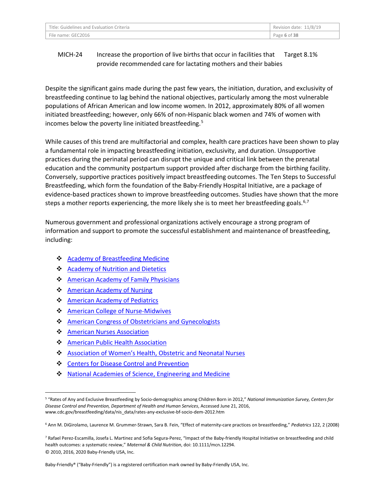| Title: Guidelines and Evaluation Criteria | Revision date: 11/8/19 |
|-------------------------------------------|------------------------|
| File name: GEC2016                        | Page 6 of 38           |

#### MICH-24 Increase the proportion of live births that occur in facilities that provide recommended care for lactating mothers and their babies Target 8.1%

Despite the significant gains made during the past few years, the initiation, duration, and exclusivity of breastfeeding continue to lag behind the national objectives, particularly among the most vulnerable populations of African American and low income women. In 2012, approximately 80% of all women initiated breastfeeding; however, only 66% of non-Hispanic black women and 74% of women with incomes below the poverty line initiated breastfeeding.[5](#page-5-0)

While causes of this trend are multifactorial and complex, health care practices have been shown to play a fundamental role in impacting breastfeeding initiation, exclusivity, and duration. Unsupportive practices during the perinatal period can disrupt the unique and critical link between the prenatal education and the community postpartum support provided after discharge from the birthing facility. Conversely, supportive practices positively impact breastfeeding outcomes. The Ten Steps to Successful Breastfeeding, which form the foundation of the Baby-Friendly Hospital Initiative, are a package of evidence-based practices shown to improve breastfeeding outcomes. Studies have shown that the more steps a mother reports experiencing, the more likely she is to meet her breastfeeding goals.<sup>[6,](#page-5-1)[7](#page-5-2)</sup>

Numerous government and professional organizations actively encourage a strong program of information and support to promote the successful establishment and maintenance of breastfeeding, including:

- ❖ [Academy of Breastfeeding Medicine](http://www.bfmed.org/Media/Files/Documents/pdf/ABM%20Position%20Statement%20%2812-2008%29.pdf)
- ❖ [Academy of Nutrition and Dietetics](http://www.eatrightpro.org/resource/practice/position-and-practice-papers/position-papers/promoting-and-supporting-breastfeeding)
- ❖ [American Academy of Family Physicians](http://www.aafp.org/about/policies/all/breastfeeding-support.html)
- **[American Academy of Nursing](http://www.aannet.org/pr-12511-fellows-call-to-action-breastfeeding)**
- **❖** [American Academy of Pediatrics](http://pediatrics.aappublications.org/content/early/2012/02/22/peds.2011-3552)
- ❖ [American College of](http://www.midwife.org/ACNM/files/ACNMLibraryData/UPLOADFILENAME/000000000248/Breastfeeding%20statement%20May%202011.pdf) Nur[s](http://www.midwife.org/ACNM/files/ACNMLibraryData/UPLOADFILENAME/000000000248/Breastfeeding%20statement%20May%202011.pdf)e-Midwives
- **American Congress of Obstetricians and Gynecologists**
- **❖** [American Nurses Association](http://www.nursingworld.org/MainMenuCategories/Policy-Advocacy/Positions-and-Resolutions/Issue-Briefs/Breastfeeding.pdf)
- **❖** [American Public Health Association](http://www.apha.org/policies-and-advocacy/public-health-policy-statements/policy-database/2014/07/29/13/23/a-call-to-action-on-breastfeeding-a-fundamental-public-health-issue)
- [Association of Women's Health, Obstetric and Neonatal Nurses](http://onlinelibrary.wiley.com/enhanced/doi/10.1111/1552-6909.12530/%23jogn12530-sec-0010)
- **↑ [Centers for Disease Control and Prevention](http://www.cdc.gov/breastfeeding/resources/guide.htm)**
- [National Academies of Science, Engineering and Medicine](http://www.nationalacademies.org/hmd/reports/2011/early-childhood-obesity-prevention-policies/recommendations.aspx)

Baby-Friendly® ("Baby-Friendly") is a registered certification mark owned by Baby-Friendly USA, Inc.

<span id="page-5-0"></span> <sup>5</sup> "Rates of Any and Exclusive Breastfeeding by Socio-demographics among Children Born in 2012," *National Immunization Survey, Centers for Disease Control and Prevention, Department of Health and Human Services*, Accessed June 21, 2016, www.cdc.gov/breastfeeding/data/nis\_data/rates-any-exclusive-bf-socio-dem-2012.htm

<span id="page-5-1"></span><sup>6</sup> Ann M. DiGirolamo, Laurence M. Grummer-Strawn, Sara B. Fein, "Effect of maternity-care practices on breastfeeding," *Pediatrics* 122, 2 (2008)

<span id="page-5-2"></span><sup>© 2010, 2016, 2020</sup> Baby-Friendly USA, Inc. <sup>7</sup> Rafael Perez-Escamilla, Josefa L. Martinez and Sofia Segura-Perez, "Impact of the Baby-friendly Hospital Initiative on breastfeeding and child health outcomes: a systematic review," *Maternal & Child Nutrition*, doi: 10.1111/mcn.12294.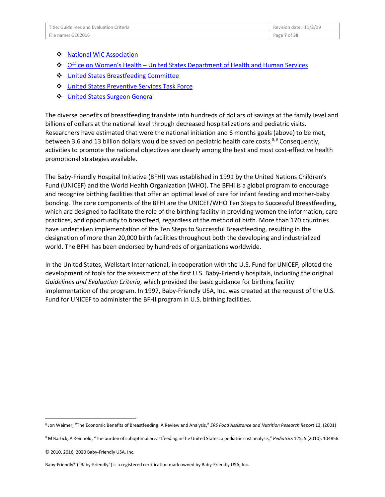| Title: Guidelines and Evaluation Criteria | Revision date: 11/8/19 |
|-------------------------------------------|------------------------|
| File name: GEC2016                        | Page 7 of 38           |

- ❖ [National WIC Association](http://www.paramountcommunication.com/nwica/BabyFriendlyHospitalInitiatives.pdf)
- Office on Women's Health [United States Department of Health and Human Services](http://womenshealth.gov/breastfeeding/index.html)
- **↓** [United States Breastfeeding Committee](http://www.usbreastfeeding.org/p/cm/ld/fid=22%23statements)
- $\dots$  [United States Preventive Services Task Force](http://www.ncbi.nlm.nih.gov/pubmed/20722164)
- **↓** [United States Surgeon General](http://www.surgeongeneral.gov/library/calls/breastfeeding/index.html)

The diverse benefits of breastfeeding translate into hundreds of dollars of savings at the family level and billions of dollars at the national level through decreased hospitalizations and pediatric visits. Researchers have estimated that were the national initiation and 6 months goals (above) to be met, between 3.6 and 13 billion dollars would be saved on pediatric health care costs.<sup>[8](#page-6-0),[9](#page-6-1)</sup> Consequently, activities to promote the national objectives are clearly among the best and most cost-effective health promotional strategies available.

The Baby-Friendly Hospital Initiative (BFHI) was established in 1991 by the United Nations Children's Fund (UNICEF) and the World Health Organization (WHO). The BFHI is a global program to encourage and recognize birthing facilities that offer an optimal level of care for infant feeding and mother-baby bonding. The core components of the BFHI are the UNICEF/WHO Ten Steps to Successful Breastfeeding, which are designed to facilitate the role of the birthing facility in providing women the information, care practices, and opportunity to breastfeed, regardless of the method of birth. More than 170 countries have undertaken implementation of the Ten Steps to Successful Breastfeeding, resulting in the designation of more than 20,000 birth facilities throughout both the developing and industrialized world. The BFHI has been endorsed by hundreds of organizations worldwide.

In the United States, Wellstart International, in cooperation with the U.S. Fund for UNICEF, piloted the development of tools for the assessment of the first U.S. Baby-Friendly hospitals, including the original *Guidelines and Evaluation Criteria*, which provided the basic guidance for birthing facility implementation of the program. In 1997, Baby-Friendly USA, Inc. was created at the request of the U.S. Fund for UNICEF to administer the BFHI program in U.S. birthing facilities.

<span id="page-6-0"></span> <sup>8</sup> Jon Weimer, "The Economic Benefits of Breastfeeding: A Review and Analysis," *ERS Food Assistance and Nutrition Research Report* 13, (2001)

<span id="page-6-1"></span><sup>9</sup> M Bartick, A Reinhold, "The burden of suboptimal breastfeeding in the United States: a pediatric cost analysis," *Pediatrics* 125, 5 (2010): 104856.

<sup>© 2010, 2016, 2020</sup> Baby-Friendly USA, Inc.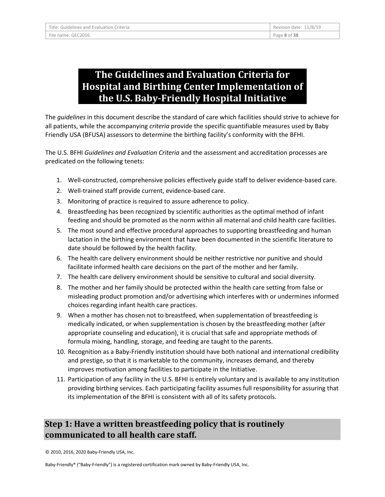# **The Guidelines and Evaluation Criteria for Hospital and Birthing Center Implementation of the U.S. Baby-Friendly Hospital Initiative**

The *guidelines* in this document describe the standard of care which facilities should strive to achieve for all patients, while the accompanying *criteria* provide the specific quantifiable measures used by Baby Friendly USA (BFUSA) assessors to determine the birthing facility's conformity with the BFHI.

The U.S. BFHI *Guidelines and Evaluation Criteria* and the assessment and accreditation processes are predicated on the following tenets:

- 1. Well-constructed, comprehensive policies effectively guide staff to deliver evidence-based care.
- 2. Well-trained staff provide current, evidence-based care.
- 3. Monitoring of practice is required to assure adherence to policy.
- 4. Breastfeeding has been recognized by scientific authorities as the optimal method of infant feeding and should be promoted as the norm within all maternal and child health care facilities.
- 5. The most sound and effective procedural approaches to supporting breastfeeding and human lactation in the birthing environment that have been documented in the scientific literature to date should be followed by the health facility.
- 6. The health care delivery environment should be neither restrictive nor punitive and should facilitate informed health care decisions on the part of the mother and her family.
- 7. The health care delivery environment should be sensitive to cultural and social diversity.
- 8. The mother and her family should be protected within the health care setting from false or misleading product promotion and/or advertising which interferes with or undermines informed choices regarding infant health care practices.
- 9. When a mother has chosen not to breastfeed, when supplementation of breastfeeding is medically indicated, or when supplementation is chosen by the breastfeeding mother (after appropriate counseling and education), it is crucial that safe and appropriate methods of formula mixing, handling, storage, and feeding are taught to the parents.
- 10. Recognition as a Baby-Friendly institution should have both national and international credibility and prestige, so that it is marketable to the community, increases demand, and thereby improves motivation among facilities to participate in the Initiative.
- 11. Participation of any facility in the U.S. BFHI is entirely voluntary and is available to any institution providing birthing services. Each participating facility assumes full responsibility for assuring that its implementation of the BFHI is consistent with all of its safety protocols.

## **Step 1: Have a written breastfeeding policy that is routinely communicated to all health care staff.**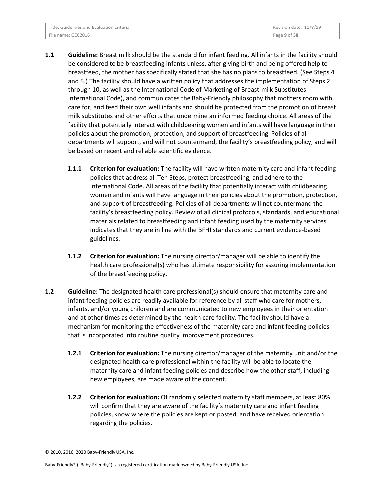| Title: Guidelines and Evaluation Criteria | Revision date: 11/8/19 |
|-------------------------------------------|------------------------|
| File name: GEC2016                        | Page 9 of 38           |

- **1.1 Guideline:** Breast milk should be the standard for infant feeding. All infants in the facility should be considered to be breastfeeding infants unless, after giving birth and being offered help to breastfeed, the mother has specifically stated that she has no plans to breastfeed. (See Steps 4 and 5.) The facility should have a written policy that addresses the implementation of Steps 2 through 10, as well as the International Code of Marketing of Breast-milk Substitutes International Code), and communicates the Baby-Friendly philosophy that mothers room with, care for, and feed their own well infants and should be protected from the promotion of breast milk substitutes and other efforts that undermine an informed feeding choice. All areas of the facility that potentially interact with childbearing women and infants will have language in their policies about the promotion, protection, and support of breastfeeding. Policies of all departments will support, and will not countermand, the facility's breastfeeding policy, and will be based on recent and reliable scientific evidence.
	- **1.1.1 Criterion for evaluation:** The facility will have written maternity care and infant feeding policies that address all Ten Steps, protect breastfeeding, and adhere to the International Code. All areas of the facility that potentially interact with childbearing women and infants will have language in their policies about the promotion, protection, and support of breastfeeding. Policies of all departments will not countermand the facility's breastfeeding policy. Review of all clinical protocols, standards, and educational materials related to breastfeeding and infant feeding used by the maternity services indicates that they are in line with the BFHI standards and current evidence-based guidelines.
	- **1.1.2 Criterion for evaluation:** The nursing director/manager will be able to identify the health care professional(s) who has ultimate responsibility for assuring implementation of the breastfeeding policy.
- **1.2 Guideline:** The designated health care professional(s) should ensure that maternity care and infant feeding policies are readily available for reference by all staff who care for mothers, infants, and/or young children and are communicated to new employees in their orientation and at other times as determined by the health care facility. The facility should have a mechanism for monitoring the effectiveness of the maternity care and infant feeding policies that is incorporated into routine quality improvement procedures.
	- **1.2.1 Criterion for evaluation:** The nursing director/manager of the maternity unit and/or the designated health care professional within the facility will be able to locate the maternity care and infant feeding policies and describe how the other staff, including new employees, are made aware of the content.
	- **1.2.2 Criterion for evaluation:** Of randomly selected maternity staff members, at least 80% will confirm that they are aware of the facility's maternity care and infant feeding policies, know where the policies are kept or posted, and have received orientation regarding the policies.

<sup>© 2010, 2016, 2020</sup> Baby-Friendly USA, Inc.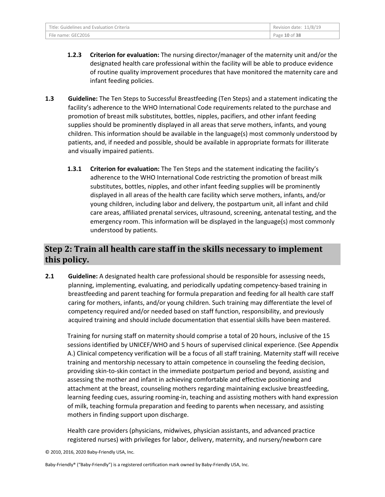| Title: Guidelines and Evaluation Criteria | Revision date: 11/8/19 |
|-------------------------------------------|------------------------|
| File name: GEC2016                        | Page 10 of 38          |

- **1.2.3 Criterion for evaluation:** The nursing director/manager of the maternity unit and/or the designated health care professional within the facility will be able to produce evidence of routine quality improvement procedures that have monitored the maternity care and infant feeding policies.
- **1.3 Guideline:** The Ten Steps to Successful Breastfeeding (Ten Steps) and a statement indicating the facility's adherence to the WHO International Code requirements related to the purchase and promotion of breast milk substitutes, bottles, nipples, pacifiers, and other infant feeding supplies should be prominently displayed in all areas that serve mothers, infants, and young children. This information should be available in the language(s) most commonly understood by patients, and, if needed and possible, should be available in appropriate formats for illiterate and visually impaired patients.
	- **1.3.1 Criterion for evaluation:** The Ten Steps and the statement indicating the facility's adherence to the WHO International Code restricting the promotion of breast milk substitutes, bottles, nipples, and other infant feeding supplies will be prominently displayed in all areas of the health care facility which serve mothers, infants, and/or young children, including labor and delivery, the postpartum unit, all infant and child care areas, affiliated prenatal services, ultrasound, screening, antenatal testing, and the emergency room. This information will be displayed in the language(s) most commonly understood by patients.

## **Step 2: Train all health care staff in the skills necessary to implement this policy.**

**2.1 Guideline:** A designated health care professional should be responsible for assessing needs, planning, implementing, evaluating, and periodically updating competency-based training in breastfeeding and parent teaching for formula preparation and feeding for all health care staff caring for mothers, infants, and/or young children. Such training may differentiate the level of competency required and/or needed based on staff function, responsibility, and previously acquired training and should include documentation that essential skills have been mastered.

Training for nursing staff on maternity should comprise a total of 20 hours, inclusive of the 15 sessions identified by UNICEF/WHO and 5 hours of supervised clinical experience. (See Appendix A.) Clinical competency verification will be a focus of all staff training. Maternity staff will receive training and mentorship necessary to attain competence in counseling the feeding decision, providing skin-to-skin contact in the immediate postpartum period and beyond, assisting and assessing the mother and infant in achieving comfortable and effective positioning and attachment at the breast, counseling mothers regarding maintaining exclusive breastfeeding, learning feeding cues, assuring rooming-in, teaching and assisting mothers with hand expression of milk, teaching formula preparation and feeding to parents when necessary, and assisting mothers in finding support upon discharge.

Health care providers (physicians, midwives, physician assistants, and advanced practice registered nurses) with privileges for labor, delivery, maternity, and nursery/newborn care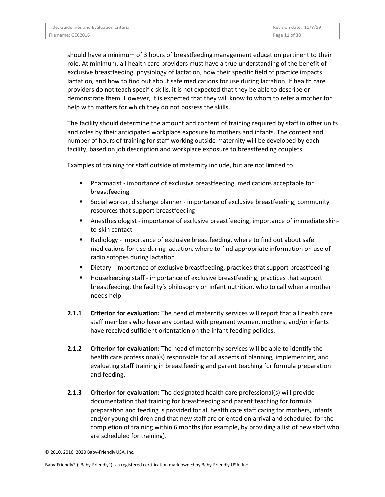| Title: Guidelines and Evaluation Criteria | Revision date: $11/8/19$ |
|-------------------------------------------|--------------------------|
| File name: GEC2016                        | Page 11 of 38            |

should have a minimum of 3 hours of breastfeeding management education pertinent to their role. At minimum, all health care providers must have a true understanding of the benefit of exclusive breastfeeding, physiology of lactation, how their specific field of practice impacts lactation, and how to find out about safe medications for use during lactation. If health care providers do not teach specific skills, it is not expected that they be able to describe or demonstrate them. However, it is expected that they will know to whom to refer a mother for help with matters for which they do not possess the skills.

The facility should determine the amount and content of training required by staff in other units and roles by their anticipated workplace exposure to mothers and infants. The content and number of hours of training for staff working outside maternity will be developed by each facility, based on job description and workplace exposure to breastfeeding couplets.

Examples of training for staff outside of maternity include, but are not limited to:

- Pharmacist importance of exclusive breastfeeding, medications acceptable for breastfeeding
- Social worker, discharge planner importance of exclusive breastfeeding, community resources that support breastfeeding
- Anesthesiologist importance of exclusive breastfeeding, importance of immediate skinto-skin contact
- Radiology importance of exclusive breastfeeding, where to find out about safe medications for use during lactation, where to find appropriate information on use of radioisotopes during lactation
- **Dietary importance of exclusive breastfeeding, practices that support breastfeeding**
- Housekeeping staff importance of exclusive breastfeeding, practices that support breastfeeding, the facility's philosophy on infant nutrition, who to call when a mother needs help
- **2.1.1 Criterion for evaluation:** The head of maternity services will report that all health care staff members who have any contact with pregnant women, mothers, and/or infants have received sufficient orientation on the infant feeding policies.
- **2.1.2 Criterion for evaluation:** The head of maternity services will be able to identify the health care professional(s) responsible for all aspects of planning, implementing, and evaluating staff training in breastfeeding and parent teaching for formula preparation and feeding.
- **2.1.3 Criterion for evaluation:** The designated health care professional(s) will provide documentation that training for breastfeeding and parent teaching for formula preparation and feeding is provided for all health care staff caring for mothers, infants and/or young children and that new staff are oriented on arrival and scheduled for the completion of training within 6 months (for example, by providing a list of new staff who are scheduled for training).

<sup>© 2010, 2016, 2020</sup> Baby-Friendly USA, Inc.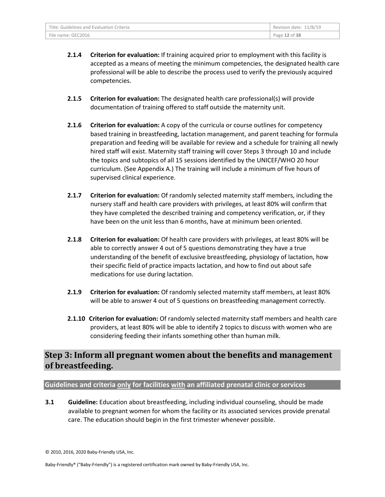| Title: Guidelines and Evaluation Criteria | Revision date: 11/8/19 |
|-------------------------------------------|------------------------|
| File name: GEC2016                        | Page 12 of 38          |

- **2.1.4 Criterion for evaluation:** If training acquired prior to employment with this facility is accepted as a means of meeting the minimum competencies, the designated health care professional will be able to describe the process used to verify the previously acquired competencies.
- **2.1.5 Criterion for evaluation:** The designated health care professional(s) will provide documentation of training offered to staff outside the maternity unit.
- **2.1.6 Criterion for evaluation:** A copy of the curricula or course outlines for competency based training in breastfeeding, lactation management, and parent teaching for formula preparation and feeding will be available for review and a schedule for training all newly hired staff will exist. Maternity staff training will cover Steps 3 through 10 and include the topics and subtopics of all 15 sessions identified by the UNICEF/WHO 20 hour curriculum. (See Appendix A.) The training will include a minimum of five hours of supervised clinical experience.
- **2.1.7 Criterion for evaluation:** Of randomly selected maternity staff members, including the nursery staff and health care providers with privileges, at least 80% will confirm that they have completed the described training and competency verification, or, if they have been on the unit less than 6 months, have at minimum been oriented.
- **2.1.8 Criterion for evaluation:** Of health care providers with privileges, at least 80% will be able to correctly answer 4 out of 5 questions demonstrating they have a true understanding of the benefit of exclusive breastfeeding, physiology of lactation, how their specific field of practice impacts lactation, and how to find out about safe medications for use during lactation.
- **2.1.9 Criterion for evaluation:** Of randomly selected maternity staff members, at least 80% will be able to answer 4 out of 5 questions on breastfeeding management correctly.
- **2.1.10 Criterion for evaluation:** Of randomly selected maternity staff members and health care providers, at least 80% will be able to identify 2 topics to discuss with women who are considering feeding their infants something other than human milk.

## **Step 3: Inform all pregnant women about the benefits and management of breastfeeding.**

#### **Guidelines and criteria only for facilities with an affiliated prenatal clinic or services**

**3.1 Guideline:** Education about breastfeeding, including individual counseling, should be made available to pregnant women for whom the facility or its associated services provide prenatal care. The education should begin in the first trimester whenever possible.

<sup>© 2010, 2016, 2020</sup> Baby-Friendly USA, Inc.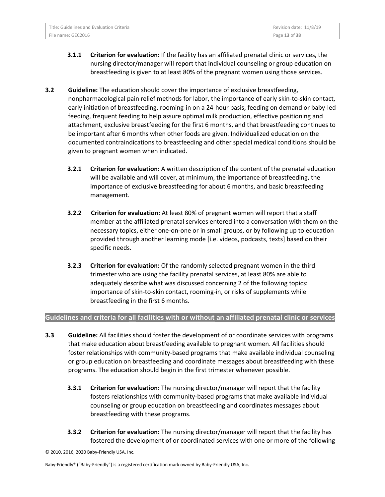- **3.1.1 Criterion for evaluation:** If the facility has an affiliated prenatal clinic or services, the nursing director/manager will report that individual counseling or group education on breastfeeding is given to at least 80% of the pregnant women using those services.
- **3.2 Guideline:** The education should cover the importance of exclusive breastfeeding, nonpharmacological pain relief methods for labor, the importance of early skin-to-skin contact, early initiation of breastfeeding, rooming-in on a 24-hour basis, feeding on demand or baby-led feeding, frequent feeding to help assure optimal milk production, effective positioning and attachment, exclusive breastfeeding for the first 6 months, and that breastfeeding continues to be important after 6 months when other foods are given. Individualized education on the documented contraindications to breastfeeding and other special medical conditions should be given to pregnant women when indicated.
	- **3.2.1 Criterion for evaluation:** A written description of the content of the prenatal education will be available and will cover, at minimum, the importance of breastfeeding, the importance of exclusive breastfeeding for about 6 months, and basic breastfeeding management.
	- **3.2.2 Criterion for evaluation:** At least 80% of pregnant women will report that a staff member at the affiliated prenatal services entered into a conversation with them on the necessary topics, either one-on-one or in small groups, or by following up to education provided through another learning mode [i.e. videos, podcasts, texts] based on their specific needs.
	- **3.2.3 Criterion for evaluation:** Of the randomly selected pregnant women in the third trimester who are using the facility prenatal services, at least 80% are able to adequately describe what was discussed concerning 2 of the following topics: importance of skin-to-skin contact, rooming-in, or risks of supplements while breastfeeding in the first 6 months.

#### **Guidelines and criteria for all facilities with or without an affiliated prenatal clinic or services**

- **3.3 Guideline:** All facilities should foster the development of or coordinate services with programs that make education about breastfeeding available to pregnant women. All facilities should foster relationships with community-based programs that make available individual counseling or group education on breastfeeding and coordinate messages about breastfeeding with these programs. The education should begin in the first trimester whenever possible.
	- **3.3.1 Criterion for evaluation:** The nursing director/manager will report that the facility fosters relationships with community-based programs that make available individual counseling or group education on breastfeeding and coordinates messages about breastfeeding with these programs.
	- **3.3.2 Criterion for evaluation:** The nursing director/manager will report that the facility has fostered the development of or coordinated services with one or more of the following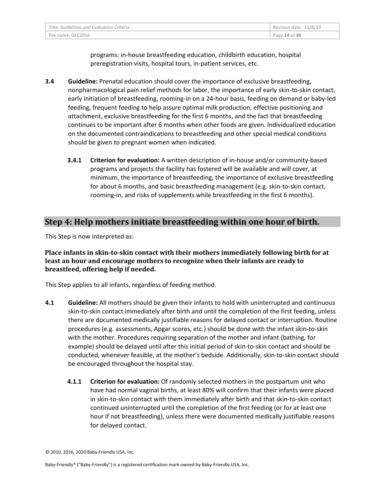| Title: Guidelines and Evaluation Criteria | Revision date: 11/8/19 |
|-------------------------------------------|------------------------|
| File name: GEC2016                        | Page 14 of 38          |

programs: in-house breastfeeding education, childbirth education, hospital preregistration visits, hospital tours, in-patient services, etc.

- **3.4 Guideline:** Prenatal education should cover the importance of exclusive breastfeeding, nonpharmacological pain relief methods for labor, the importance of early skin-to-skin contact, early initiation of breastfeeding, rooming-in on a 24-hour basis, feeding on demand or baby-led feeding, frequent feeding to help assure optimal milk production, effective positioning and attachment, exclusive breastfeeding for the first 6 months, and the fact that breastfeeding continues to be important after 6 months when other foods are given. Individualized education on the documented contraindications to breastfeeding and other special medical conditions should be given to pregnant women when indicated.
	- **3.4.1 Criterion for evaluation:** A written description of in-house and/or community-based programs and projects the facility has fostered will be available and will cover, at minimum, the importance of breastfeeding, the importance of exclusive breastfeeding for about 6 months, and basic breastfeeding management (e.g. skin-to-skin contact, rooming-in, and risks of supplements while breastfeeding in the first 6 months).

#### **Step 4: Help mothers initiate breastfeeding within one hour of birth.**

This Step is now interpreted as:

#### **Place infants in skin-to-skin contact with their mothers immediately following birth for at least an hour and encourage mothers to recognize when their infants are ready to breastfeed, offering help if needed.**

This Step applies to all infants, regardless of feeding method.

- **4.1 Guideline:** All mothers should be given their infants to hold with uninterrupted and continuous skin-to-skin contact immediately after birth and until the completion of the first feeding, unless there are documented medically justifiable reasons for delayed contact or interruption. Routine procedures (e.g. assessments, Apgar scores, etc.) should be done with the infant skin-to-skin with the mother. Procedures requiring separation of the mother and infant (bathing, for example) should be delayed until after this initial period of skin-to-skin contact and should be conducted, whenever feasible, at the mother's bedside. Additionally, skin-to-skin contact should be encouraged throughout the hospital stay.
	- **4.1.1 Criterion for evaluation:** Of randomly selected mothers in the postpartum unit who have had normal vaginal births, at least 80% will confirm that their infants were placed in skin-to-skin contact with them immediately after birth and that skin-to-skin contact continued uninterrupted until the completion of the first feeding (or for at least one hour if not breastfeeding), unless there were documented medically justifiable reasons for delayed contact.

<sup>© 2010, 2016, 2020</sup> Baby-Friendly USA, Inc.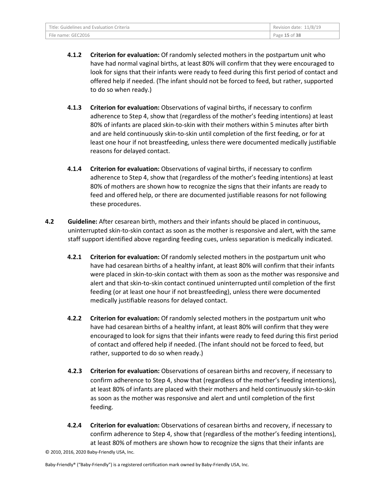| Title: Guidelines and Evaluation Criteria | Revision date: 11/8/19 |
|-------------------------------------------|------------------------|
| File name: GEC2016                        | Page 15 of 38          |

- **4.1.2 Criterion for evaluation:** Of randomly selected mothers in the postpartum unit who have had normal vaginal births, at least 80% will confirm that they were encouraged to look for signs that their infants were ready to feed during this first period of contact and offered help if needed. (The infant should not be forced to feed, but rather, supported to do so when ready.)
- **4.1.3 Criterion for evaluation:** Observations of vaginal births, if necessary to confirm adherence to Step 4, show that (regardless of the mother's feeding intentions) at least 80% of infants are placed skin-to-skin with their mothers within 5 minutes after birth and are held continuously skin-to-skin until completion of the first feeding, or for at least one hour if not breastfeeding, unless there were documented medically justifiable reasons for delayed contact.
- **4.1.4 Criterion for evaluation:** Observations of vaginal births, if necessary to confirm adherence to Step 4, show that (regardless of the mother's feeding intentions) at least 80% of mothers are shown how to recognize the signs that their infants are ready to feed and offered help, or there are documented justifiable reasons for not following these procedures.
- **4.2 Guideline:** After cesarean birth, mothers and their infants should be placed in continuous, uninterrupted skin-to-skin contact as soon as the mother is responsive and alert, with the same staff support identified above regarding feeding cues, unless separation is medically indicated.
	- **4.2.1 Criterion for evaluation:** Of randomly selected mothers in the postpartum unit who have had cesarean births of a healthy infant, at least 80% will confirm that their infants were placed in skin-to-skin contact with them as soon as the mother was responsive and alert and that skin-to-skin contact continued uninterrupted until completion of the first feeding (or at least one hour if not breastfeeding), unless there were documented medically justifiable reasons for delayed contact.
	- **4.2.2 Criterion for evaluation:** Of randomly selected mothers in the postpartum unit who have had cesarean births of a healthy infant, at least 80% will confirm that they were encouraged to look for signs that their infants were ready to feed during this first period of contact and offered help if needed. (The infant should not be forced to feed, but rather, supported to do so when ready.)
	- **4.2.3 Criterion for evaluation:** Observations of cesarean births and recovery, if necessary to confirm adherence to Step 4, show that (regardless of the mother's feeding intentions), at least 80% of infants are placed with their mothers and held continuously skin-to-skin as soon as the mother was responsive and alert and until completion of the first feeding.
	- **4.2.4 Criterion for evaluation:** Observations of cesarean births and recovery, if necessary to confirm adherence to Step 4, show that (regardless of the mother's feeding intentions), at least 80% of mothers are shown how to recognize the signs that their infants are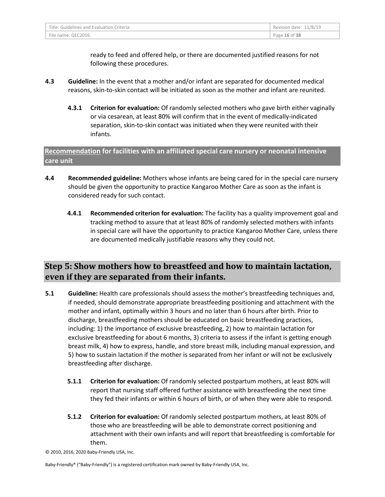| Title: Guidelines and Evaluation Criteria | Revision date: 11/8/19 |
|-------------------------------------------|------------------------|
| File name: GEC2016                        | Page 16 of 38          |

ready to feed and offered help, or there are documented justified reasons for not following these procedures.

- **4.3 Guideline:** In the event that a mother and/or infant are separated for documented medical reasons, skin-to-skin contact will be initiated as soon as the mother and infant are reunited.
	- **4.3.1 Criterion for evaluation:** Of randomly selected mothers who gave birth either vaginally or via cesarean, at least 80% will confirm that in the event of medically-indicated separation, skin-to-skin contact was initiated when they were reunited with their infants.

**Recommendation for facilities with an affiliated special care nursery or neonatal intensive care unit** 

- **4.4 Recommended guideline:** Mothers whose infants are being cared for in the special care nursery should be given the opportunity to practice Kangaroo Mother Care as soon as the infant is considered ready for such contact.
	- **4.4.1 Recommended criterion for evaluation:** The facility has a quality improvement goal and tracking method to assure that at least 80% of randomly selected mothers with infants in special care will have the opportunity to practice Kangaroo Mother Care, unless there are documented medically justifiable reasons why they could not.

## **Step 5: Show mothers how to breastfeed and how to maintain lactation, even if they are separated from their infants.**

- **5.1 Guideline:** Health care professionals should assess the mother's breastfeeding techniques and, if needed, should demonstrate appropriate breastfeeding positioning and attachment with the mother and infant, optimally within 3 hours and no later than 6 hours after birth. Prior to discharge, breastfeeding mothers should be educated on basic breastfeeding practices, including: 1) the importance of exclusive breastfeeding, 2) how to maintain lactation for exclusive breastfeeding for about 6 months, 3) criteria to assess if the infant is getting enough breast milk, 4) how to express, handle, and store breast milk, including manual expression, and 5) how to sustain lactation if the mother is separated from her infant or will not be exclusively breastfeeding after discharge.
	- **5.1.1 Criterion for evaluation:** Of randomly selected postpartum mothers, at least 80% will report that nursing staff offered further assistance with breastfeeding the next time they fed their infants or within 6 hours of birth, or of when they were able to respond.
	- **5.1.2 Criterion for evaluation:** Of randomly selected postpartum mothers, at least 80% of those who are breastfeeding will be able to demonstrate correct positioning and attachment with their own infants and will report that breastfeeding is comfortable for them.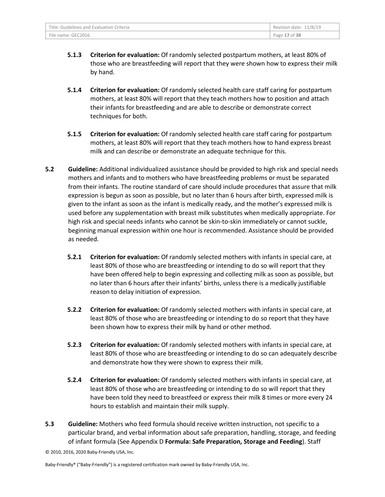| Title: Guidelines and Evaluation Criteria | Revision date: 11/8/19 |
|-------------------------------------------|------------------------|
| File name: GEC2016                        | Page 17 of 38          |

- **5.1.3 Criterion for evaluation:** Of randomly selected postpartum mothers, at least 80% of those who are breastfeeding will report that they were shown how to express their milk by hand.
- **5.1.4 Criterion for evaluation:** Of randomly selected health care staff caring for postpartum mothers, at least 80% will report that they teach mothers how to position and attach their infants for breastfeeding and are able to describe or demonstrate correct techniques for both.
- **5.1.5 Criterion for evaluation:** Of randomly selected health care staff caring for postpartum mothers, at least 80% will report that they teach mothers how to hand express breast milk and can describe or demonstrate an adequate technique for this.
- **5.2 Guideline:** Additional individualized assistance should be provided to high risk and special needs mothers and infants and to mothers who have breastfeeding problems or must be separated from their infants. The routine standard of care should include procedures that assure that milk expression is begun as soon as possible, but no later than 6 hours after birth, expressed milk is given to the infant as soon as the infant is medically ready, and the mother's expressed milk is used before any supplementation with breast milk substitutes when medically appropriate. For high risk and special needs infants who cannot be skin-to-skin immediately or cannot suckle, beginning manual expression within one hour is recommended. Assistance should be provided as needed.
	- **5.2.1 Criterion for evaluation:** Of randomly selected mothers with infants in special care, at least 80% of those who are breastfeeding or intending to do so will report that they have been offered help to begin expressing and collecting milk as soon as possible, but no later than 6 hours after their infants' births, unless there is a medically justifiable reason to delay initiation of expression.
	- **5.2.2 Criterion for evaluation:** Of randomly selected mothers with infants in special care, at least 80% of those who are breastfeeding or intending to do so report that they have been shown how to express their milk by hand or other method.
	- **5.2.3 Criterion for evaluation:** Of randomly selected mothers with infants in special care, at least 80% of those who are breastfeeding or intending to do so can adequately describe and demonstrate how they were shown to express their milk.
	- **5.2.4 Criterion for evaluation:** Of randomly selected mothers with infants in special care, at least 80% of those who are breastfeeding or intending to do so will report that they have been told they need to breastfeed or express their milk 8 times or more every 24 hours to establish and maintain their milk supply.
- **5.3 Guideline:** Mothers who feed formula should receive written instruction, not specific to a particular brand, and verbal information about safe preparation, handling, storage, and feeding of infant formula (See Appendix D **Formula: Safe Preparation, Storage and Feeding**). Staff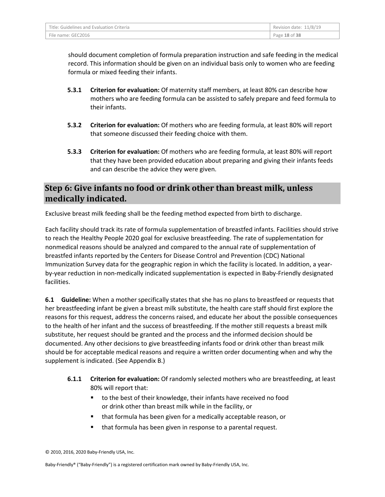| Title: Guidelines and Evaluation Criteria | Revision date: 11/8/19 |
|-------------------------------------------|------------------------|
| File name: GEC2016                        | Page 18 of 38          |

should document completion of formula preparation instruction and safe feeding in the medical record. This information should be given on an individual basis only to women who are feeding formula or mixed feeding their infants.

- **5.3.1 Criterion for evaluation:** Of maternity staff members, at least 80% can describe how mothers who are feeding formula can be assisted to safely prepare and feed formula to their infants.
- **5.3.2 Criterion for evaluation:** Of mothers who are feeding formula, at least 80% will report that someone discussed their feeding choice with them.
- **5.3.3 Criterion for evaluation:** Of mothers who are feeding formula, at least 80% will report that they have been provided education about preparing and giving their infants feeds and can describe the advice they were given.

### **Step 6: Give infants no food or drink other than breast milk, unless medically indicated.**

Exclusive breast milk feeding shall be the feeding method expected from birth to discharge.

Each facility should track its rate of formula supplementation of breastfed infants. Facilities should strive to reach the Healthy People 2020 goal for exclusive breastfeeding. The rate of supplementation for nonmedical reasons should be analyzed and compared to the annual rate of supplementation of breastfed infants reported by the Centers for Disease Control and Prevention (CDC) National Immunization Survey data for the geographic region in which the facility is located. In addition, a yearby-year reduction in non-medically indicated supplementation is expected in Baby-Friendly designated facilities.

**6.1 Guideline:** When a mother specifically states that she has no plans to breastfeed or requests that her breastfeeding infant be given a breast milk substitute, the health care staff should first explore the reasons for this request, address the concerns raised, and educate her about the possible consequences to the health of her infant and the success of breastfeeding. If the mother still requests a breast milk substitute, her request should be granted and the process and the informed decision should be documented. Any other decisions to give breastfeeding infants food or drink other than breast milk should be for acceptable medical reasons and require a written order documenting when and why the supplement is indicated. (See Appendix B.)

- **6.1.1 Criterion for evaluation:** Of randomly selected mothers who are breastfeeding, at least 80% will report that:
	- to the best of their knowledge, their infants have received no food or drink other than breast milk while in the facility, or
	- that formula has been given for a medically acceptable reason, or
	- that formula has been given in response to a parental request.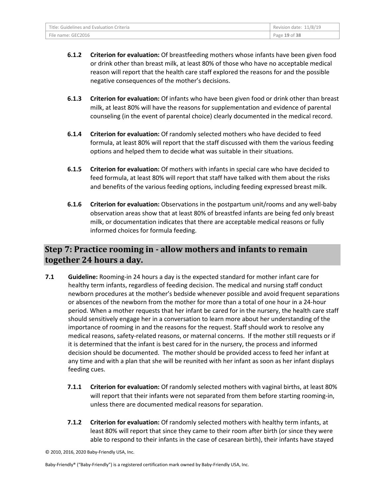- **6.1.2 Criterion for evaluation:** Of breastfeeding mothers whose infants have been given food or drink other than breast milk, at least 80% of those who have no acceptable medical reason will report that the health care staff explored the reasons for and the possible negative consequences of the mother's decisions.
- **6.1.3 Criterion for evaluation:** Of infants who have been given food or drink other than breast milk, at least 80% will have the reasons for supplementation and evidence of parental counseling (in the event of parental choice) clearly documented in the medical record.
- **6.1.4 Criterion for evaluation:** Of randomly selected mothers who have decided to feed formula, at least 80% will report that the staff discussed with them the various feeding options and helped them to decide what was suitable in their situations.
- **6.1.5 Criterion for evaluation:** Of mothers with infants in special care who have decided to feed formula, at least 80% will report that staff have talked with them about the risks and benefits of the various feeding options, including feeding expressed breast milk.
- **6.1.6 Criterion for evaluation:** Observations in the postpartum unit/rooms and any well-baby observation areas show that at least 80% of breastfed infants are being fed only breast milk, or documentation indicates that there are acceptable medical reasons or fully informed choices for formula feeding.

## **Step 7: Practice rooming in - allow mothers and infants to remain together 24 hours a day.**

- **7.1 Guideline:** Rooming-in 24 hours a day is the expected standard for mother infant care for healthy term infants, regardless of feeding decision. The medical and nursing staff conduct newborn procedures at the mother's bedside whenever possible and avoid frequent separations or absences of the newborn from the mother for more than a total of one hour in a 24-hour period. When a mother requests that her infant be cared for in the nursery, the health care staff should sensitively engage her in a conversation to learn more about her understanding of the importance of rooming in and the reasons for the request. Staff should work to resolve any medical reasons, safety-related reasons, or maternal concerns. If the mother still requests or if it is determined that the infant is best cared for in the nursery, the process and informed decision should be documented. The mother should be provided access to feed her infant at any time and with a plan that she will be reunited with her infant as soon as her infant displays feeding cues.
	- **7.1.1 Criterion for evaluation:** Of randomly selected mothers with vaginal births, at least 80% will report that their infants were not separated from them before starting rooming-in, unless there are documented medical reasons for separation.
	- **7.1.2 Criterion for evaluation:** Of randomly selected mothers with healthy term infants, at least 80% will report that since they came to their room after birth (or since they were able to respond to their infants in the case of cesarean birth), their infants have stayed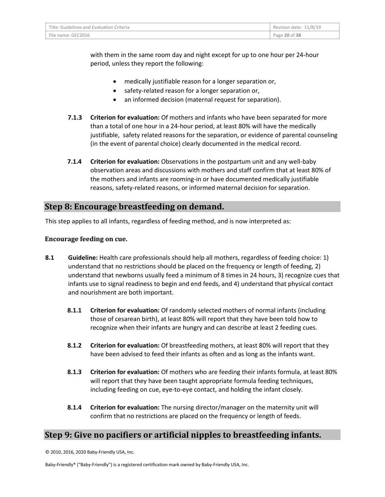| Title: Guidelines and Evaluation Criteria | Revision date: 11/8/19 |
|-------------------------------------------|------------------------|
| File name: GEC2016                        | Page 20 of 38          |

with them in the same room day and night except for up to one hour per 24-hour period, unless they report the following:

- medically justifiable reason for a longer separation or,
- safety-related reason for a longer separation or,
- an informed decision (maternal request for separation).
- **7.1.3 Criterion for evaluation:** Of mothers and infants who have been separated for more than a total of one hour in a 24-hour period, at least 80% will have the medically justifiable, safety related reasons for the separation, or evidence of parental counseling (in the event of parental choice) clearly documented in the medical record.
- **7.1.4 Criterion for evaluation:** Observations in the postpartum unit and any well-baby observation areas and discussions with mothers and staff confirm that at least 80% of the mothers and infants are rooming-in or have documented medically justifiable reasons, safety-related reasons, or informed maternal decision for separation.

#### **Step 8: Encourage breastfeeding on demand.**

This step applies to all infants, regardless of feeding method, and is now interpreted as:

#### **Encourage feeding on cue.**

- **8.1 Guideline:** Health care professionals should help all mothers, regardless of feeding choice: 1) understand that no restrictions should be placed on the frequency or length of feeding, 2) understand that newborns usually feed a minimum of 8 times in 24 hours, 3) recognize cues that infants use to signal readiness to begin and end feeds, and 4) understand that physical contact and nourishment are both important.
	- **8.1.1 Criterion for evaluation:** Of randomly selected mothers of normal infants (including those of cesarean birth), at least 80% will report that they have been told how to recognize when their infants are hungry and can describe at least 2 feeding cues.
	- **8.1.2 Criterion for evaluation:** Of breastfeeding mothers, at least 80% will report that they have been advised to feed their infants as often and as long as the infants want.
	- **8.1.3 Criterion for evaluation:** Of mothers who are feeding their infants formula, at least 80% will report that they have been taught appropriate formula feeding techniques, including feeding on cue, eye-to-eye contact, and holding the infant closely.
	- **8.1.4 Criterion for evaluation:** The nursing director/manager on the maternity unit will confirm that no restrictions are placed on the frequency or length of feeds.

#### **Step 9: Give no pacifiers or artificial nipples to breastfeeding infants.**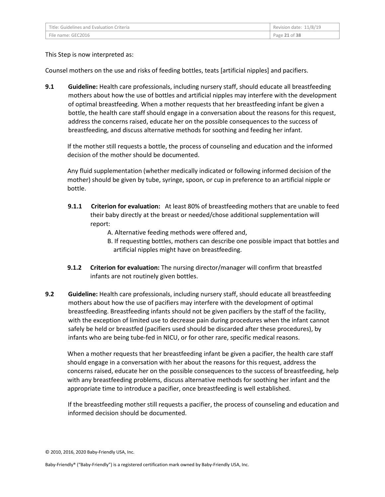| Title: Guidelines and Evaluation Criteria | Revision date: 11/8/19 |
|-------------------------------------------|------------------------|
| File name: GEC2016                        | Page 21 of 38          |

This Step is now interpreted as:

Counsel mothers on the use and risks of feeding bottles, teats [artificial nipples] and pacifiers.

**9.1 Guideline:** Health care professionals, including nursery staff, should educate all breastfeeding mothers about how the use of bottles and artificial nipples may interfere with the development of optimal breastfeeding. When a mother requests that her breastfeeding infant be given a bottle, the health care staff should engage in a conversation about the reasons for this request, address the concerns raised, educate her on the possible consequences to the success of breastfeeding, and discuss alternative methods for soothing and feeding her infant.

If the mother still requests a bottle, the process of counseling and education and the informed decision of the mother should be documented.

Any fluid supplementation (whether medically indicated or following informed decision of the mother) should be given by tube, syringe, spoon, or cup in preference to an artificial nipple or bottle.

- **9.1.1 Criterion for evaluation:** At least 80% of breastfeeding mothers that are unable to feed their baby directly at the breast or needed/chose additional supplementation will report:
	- A. Alternative feeding methods were offered and,
	- B. If requesting bottles, mothers can describe one possible impact that bottles and artificial nipples might have on breastfeeding.
- **9.1.2 Criterion for evaluation:** The nursing director/manager will confirm that breastfed infants are not routinely given bottles.
- **9.2 Guideline:** Health care professionals, including nursery staff, should educate all breastfeeding mothers about how the use of pacifiers may interfere with the development of optimal breastfeeding. Breastfeeding infants should not be given pacifiers by the staff of the facility, with the exception of limited use to decrease pain during procedures when the infant cannot safely be held or breastfed (pacifiers used should be discarded after these procedures), by infants who are being tube-fed in NICU, or for other rare, specific medical reasons.

When a mother requests that her breastfeeding infant be given a pacifier, the health care staff should engage in a conversation with her about the reasons for this request, address the concerns raised, educate her on the possible consequences to the success of breastfeeding, help with any breastfeeding problems, discuss alternative methods for soothing her infant and the appropriate time to introduce a pacifier, once breastfeeding is well established.

If the breastfeeding mother still requests a pacifier, the process of counseling and education and informed decision should be documented.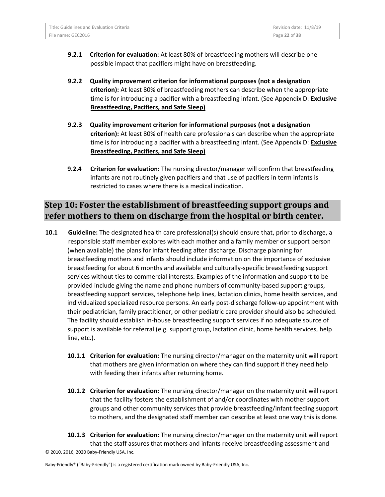| Title: Guidelines and Evaluation Criteria | Revision date: 11/8/19 |
|-------------------------------------------|------------------------|
| File name: GEC2016                        | Page 22 of 38          |

- **9.2.1 Criterion for evaluation:** At least 80% of breastfeeding mothers will describe one possible impact that pacifiers might have on breastfeeding.
- **9.2.2 Quality improvement criterion for informational purposes (not a designation criterion):** At least 80% of breastfeeding mothers can describe when the appropriate time is for introducing a pacifier with a breastfeeding infant. (See Appendix D: **Exclusive Breastfeeding, Pacifiers, and Safe Sleep)**
- **9.2.3 Quality improvement criterion for informational purposes (not a designation criterion):** At least 80% of health care professionals can describe when the appropriate time is for introducing a pacifier with a breastfeeding infant. (See Appendix D: **Exclusive Breastfeeding, Pacifiers, and Safe Sleep)**
- **9.2.4 Criterion for evaluation:** The nursing director/manager will confirm that breastfeeding infants are not routinely given pacifiers and that use of pacifiers in term infants is restricted to cases where there is a medical indication.

## **Step 10: Foster the establishment of breastfeeding support groups and refer mothers to them on discharge from the hospital or birth center.**

- **10.1 Guideline:** The designated health care professional(s) should ensure that, prior to discharge, a responsible staff member explores with each mother and a family member or support person (when available) the plans for infant feeding after discharge. Discharge planning for breastfeeding mothers and infants should include information on the importance of exclusive breastfeeding for about 6 months and available and culturally-specific breastfeeding support services without ties to commercial interests. Examples of the information and support to be provided include giving the name and phone numbers of community-based support groups, breastfeeding support services, telephone help lines, lactation clinics, home health services, and individualized specialized resource persons. An early post-discharge follow-up appointment with their pediatrician, family practitioner, or other pediatric care provider should also be scheduled. The facility should establish in-house breastfeeding support services if no adequate source of support is available for referral (e.g. support group, lactation clinic, home health services, help line, etc.).
	- **10.1.1 Criterion for evaluation:** The nursing director/manager on the maternity unit will report that mothers are given information on where they can find support if they need help with feeding their infants after returning home.
	- **10.1.2 Criterion for evaluation:** The nursing director/manager on the maternity unit will report that the facility fosters the establishment of and/or coordinates with mother support groups and other community services that provide breastfeeding/infant feeding support to mothers, and the designated staff member can describe at least one way this is done.
- © 2010, 2016, 2020 Baby-Friendly USA, Inc. **10.1.3 Criterion for evaluation:** The nursing director/manager on the maternity unit will report that the staff assures that mothers and infants receive breastfeeding assessment and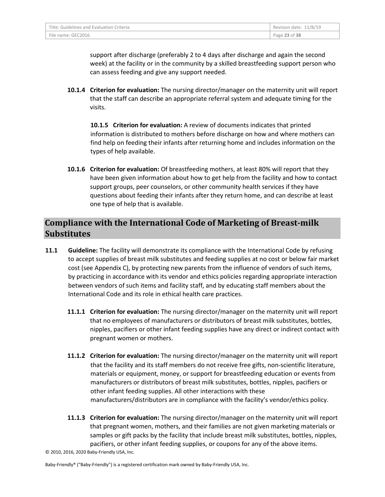| Title: Guidelines and Evaluation Criteria | Revision date: 11/8/19 |
|-------------------------------------------|------------------------|
| File name: GEC2016                        | Page 23 of 38          |

support after discharge (preferably 2 to 4 days after discharge and again the second week) at the facility or in the community by a skilled breastfeeding support person who can assess feeding and give any support needed.

**10.1.4 Criterion for evaluation:** The nursing director/manager on the maternity unit will report that the staff can describe an appropriate referral system and adequate timing for the visits.

**10.1.5 Criterion for evaluation:** A review of documents indicates that printed information is distributed to mothers before discharge on how and where mothers can find help on feeding their infants after returning home and includes information on the types of help available.

**10.1.6 Criterion for evaluation:** Of breastfeeding mothers, at least 80% will report that they have been given information about how to get help from the facility and how to contact support groups, peer counselors, or other community health services if they have questions about feeding their infants after they return home, and can describe at least one type of help that is available.

## **Compliance with the International Code of Marketing of Breast-milk Substitutes**

- **11.1 Guideline:** The facility will demonstrate its compliance with the International Code by refusing to accept supplies of breast milk substitutes and feeding supplies at no cost or below fair market cost (see Appendix C), by protecting new parents from the influence of vendors of such items, by practicing in accordance with its vendor and ethics policies regarding appropriate interaction between vendors of such items and facility staff, and by educating staff members about the International Code and its role in ethical health care practices.
	- **11.1.1 Criterion for evaluation:** The nursing director/manager on the maternity unit will report that no employees of manufacturers or distributors of breast milk substitutes, bottles, nipples, pacifiers or other infant feeding supplies have any direct or indirect contact with pregnant women or mothers.
	- **11.1.2 Criterion for evaluation:** The nursing director/manager on the maternity unit will report that the facility and its staff members do not receive free gifts, non-scientific literature, materials or equipment, money, or support for breastfeeding education or events from manufacturers or distributors of breast milk substitutes, bottles, nipples, pacifiers or other infant feeding supplies. All other interactions with these manufacturers/distributors are in compliance with the facility's vendor/ethics policy.
	- **11.1.3 Criterion for evaluation:** The nursing director/manager on the maternity unit will report that pregnant women, mothers, and their families are not given marketing materials or samples or gift packs by the facility that include breast milk substitutes, bottles, nipples, pacifiers, or other infant feeding supplies, or coupons for any of the above items.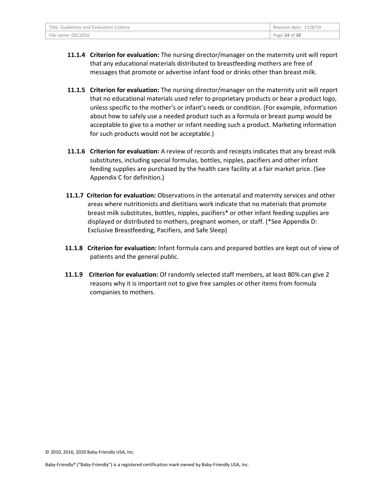| Title: Guidelines and Evaluation Criteria | Revision date: 11/8/19 |
|-------------------------------------------|------------------------|
| File name: GEC2016                        | Page 24 of 38          |

- **11.1.4 Criterion for evaluation:** The nursing director/manager on the maternity unit will report that any educational materials distributed to breastfeeding mothers are free of messages that promote or advertise infant food or drinks other than breast milk.
- **11.1.5 Criterion for evaluation:** The nursing director/manager on the maternity unit will report that no educational materials used refer to proprietary products or bear a product logo, unless specific to the mother's or infant's needs or condition. (For example, information about how to safely use a needed product such as a formula or breast pump would be acceptable to give to a mother or infant needing such a product. Marketing information for such products would not be acceptable.)
- **11.1.6 Criterion for evaluation:** A review of records and receipts indicates that any breast milk substitutes, including special formulas, bottles, nipples, pacifiers and other infant feeding supplies are purchased by the health care facility at a fair market price. (See Appendix C for definition.)
- **11.1.7 Criterion for evaluation:** Observations in the antenatal and maternity services and other areas where nutritionists and dietitians work indicate that no materials that promote breast milk substitutes, bottles, nipples, pacifiers\* or other infant feeding supplies are displayed or distributed to mothers, pregnant women, or staff. (\*See Appendix D: Exclusive Breastfeeding, Pacifiers, and Safe Sleep)
- **11.1.8 Criterion for evaluation:** Infant formula cans and prepared bottles are kept out of view of patients and the general public.
- **11.1.9 Criterion for evaluation:** Of randomly selected staff members, at least 80% can give 2 reasons why it is important not to give free samples or other items from formula companies to mothers.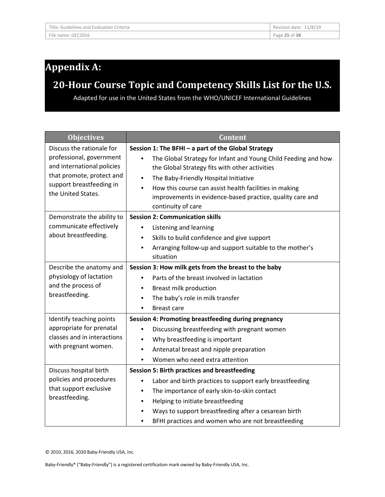# **Appendix A:**

# **20-Hour Course Topic and Competency Skills List for the U.S.**

Adapted for use in the United States from the WHO/UNICEF International Guidelines

| <b>Objectives</b>                                                                                                                     | <b>Content</b>                                                                                                                                                                                                                                                                                                                   |
|---------------------------------------------------------------------------------------------------------------------------------------|----------------------------------------------------------------------------------------------------------------------------------------------------------------------------------------------------------------------------------------------------------------------------------------------------------------------------------|
| Discuss the rationale for                                                                                                             | Session 1: The BFHI - a part of the Global Strategy                                                                                                                                                                                                                                                                              |
| professional, government<br>and international policies<br>that promote, protect and<br>support breastfeeding in<br>the United States. | The Global Strategy for Infant and Young Child Feeding and how<br>the Global Strategy fits with other activities<br>The Baby-Friendly Hospital Initiative<br>$\bullet$<br>How this course can assist health facilities in making<br>$\bullet$<br>improvements in evidence-based practice, quality care and<br>continuity of care |
| Demonstrate the ability to                                                                                                            | <b>Session 2: Communication skills</b>                                                                                                                                                                                                                                                                                           |
| communicate effectively                                                                                                               | Listening and learning<br>$\bullet$                                                                                                                                                                                                                                                                                              |
| about breastfeeding.                                                                                                                  | Skills to build confidence and give support                                                                                                                                                                                                                                                                                      |
|                                                                                                                                       | Arranging follow-up and support suitable to the mother's<br>situation                                                                                                                                                                                                                                                            |
| Describe the anatomy and                                                                                                              | Session 3: How milk gets from the breast to the baby                                                                                                                                                                                                                                                                             |
| physiology of lactation                                                                                                               | Parts of the breast involved in lactation                                                                                                                                                                                                                                                                                        |
| and the process of                                                                                                                    | Breast milk production                                                                                                                                                                                                                                                                                                           |
| breastfeeding.                                                                                                                        | The baby's role in milk transfer<br>$\bullet$                                                                                                                                                                                                                                                                                    |
|                                                                                                                                       | <b>Breast care</b>                                                                                                                                                                                                                                                                                                               |
| Identify teaching points                                                                                                              | Session 4: Promoting breastfeeding during pregnancy                                                                                                                                                                                                                                                                              |
| appropriate for prenatal                                                                                                              | Discussing breastfeeding with pregnant women<br>$\bullet$                                                                                                                                                                                                                                                                        |
| classes and in interactions                                                                                                           | Why breastfeeding is important                                                                                                                                                                                                                                                                                                   |
| with pregnant women.                                                                                                                  | Antenatal breast and nipple preparation                                                                                                                                                                                                                                                                                          |
|                                                                                                                                       | Women who need extra attention                                                                                                                                                                                                                                                                                                   |
| Discuss hospital birth                                                                                                                | <b>Session 5: Birth practices and breastfeeding</b>                                                                                                                                                                                                                                                                              |
| policies and procedures                                                                                                               | Labor and birth practices to support early breastfeeding<br>٠                                                                                                                                                                                                                                                                    |
| that support exclusive                                                                                                                | The importance of early skin-to-skin contact<br>٠                                                                                                                                                                                                                                                                                |
| breastfeeding.                                                                                                                        | Helping to initiate breastfeeding<br>$\bullet$                                                                                                                                                                                                                                                                                   |
|                                                                                                                                       | Ways to support breastfeeding after a cesarean birth                                                                                                                                                                                                                                                                             |
|                                                                                                                                       | BFHI practices and women who are not breastfeeding                                                                                                                                                                                                                                                                               |

© 2010, 2016, 2020 Baby-Friendly USA, Inc.

Baby-Friendly® ("Baby-Friendly") is a registered certification mark owned by Baby-Friendly USA, Inc.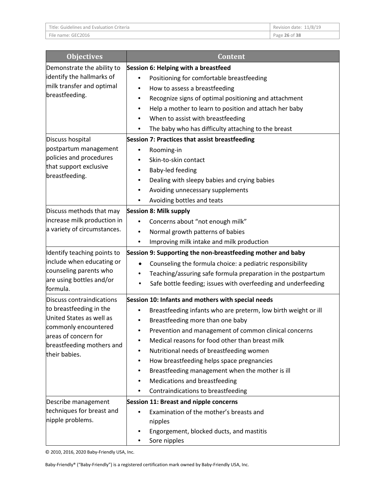| Title: Guidelines and Evaluation Criteria | Revision date: 11/8/19 |
|-------------------------------------------|------------------------|
| File name: GEC2016                        | Page 26 of 38          |

٦

| <b>Objectives</b>                                   | <b>Content</b>                                                             |
|-----------------------------------------------------|----------------------------------------------------------------------------|
| Demonstrate the ability to                          | Session 6: Helping with a breastfeed                                       |
| identify the hallmarks of                           | Positioning for comfortable breastfeeding                                  |
| milk transfer and optimal                           | How to assess a breastfeeding<br>٠                                         |
| breastfeeding.                                      | Recognize signs of optimal positioning and attachment<br>$\bullet$         |
|                                                     | Help a mother to learn to position and attach her baby                     |
|                                                     | When to assist with breastfeeding                                          |
|                                                     | The baby who has difficulty attaching to the breast<br>٠                   |
| Discuss hospital                                    | Session 7: Practices that assist breastfeeding                             |
| postpartum management                               | Rooming-in                                                                 |
| policies and procedures                             | Skin-to-skin contact                                                       |
| that support exclusive                              | Baby-led feeding<br>٠                                                      |
| breastfeeding.                                      | Dealing with sleepy babies and crying babies<br>٠                          |
|                                                     | Avoiding unnecessary supplements                                           |
|                                                     | Avoiding bottles and teats<br>٠                                            |
| Discuss methods that may                            | <b>Session 8: Milk supply</b>                                              |
| increase milk production in                         | Concerns about "not enough milk"                                           |
| a variety of circumstances.                         | Normal growth patterns of babies<br>٠                                      |
|                                                     | Improving milk intake and milk production<br>٠                             |
| Identify teaching points to                         | Session 9: Supporting the non-breastfeeding mother and baby                |
| include when educating or                           | Counseling the formula choice: a pediatric responsibility<br>$\bullet$     |
| counseling parents who                              | Teaching/assuring safe formula preparation in the postpartum               |
| are using bottles and/or                            | Safe bottle feeding; issues with overfeeding and underfeeding<br>$\bullet$ |
| formula.                                            |                                                                            |
| Discuss contraindications                           | Session 10: Infants and mothers with special needs                         |
| to breastfeeding in the<br>United States as well as | Breastfeeding infants who are preterm, low birth weight or ill             |
| commonly encountered                                | Breastfeeding more than one baby<br>٠                                      |
| areas of concern for                                | Prevention and management of common clinical concerns                      |
| breastfeeding mothers and                           | Medical reasons for food other than breast milk                            |
| their babies.                                       | Nutritional needs of breastfeeding women<br>٠                              |
|                                                     | How breastfeeding helps space pregnancies                                  |
|                                                     | Breastfeeding management when the mother is ill                            |
|                                                     | Medications and breastfeeding                                              |
|                                                     | Contraindications to breastfeeding                                         |
| Describe management                                 | <b>Session 11: Breast and nipple concerns</b>                              |
| techniques for breast and                           | Examination of the mother's breasts and                                    |
| nipple problems.                                    | nipples                                                                    |
|                                                     | Engorgement, blocked ducts, and mastitis                                   |
|                                                     | Sore nipples                                                               |

© 2010, 2016, 2020 Baby-Friendly USA, Inc.

Baby-Friendly® ("Baby-Friendly") is a registered certification mark owned by Baby-Friendly USA, Inc.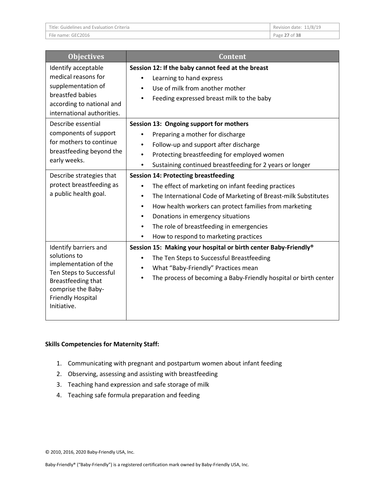| Title: Guidelines and Evaluation Criteria | Revision date: 11/8/19 |
|-------------------------------------------|------------------------|
| File name: GEC2016                        | Page 27 of 38          |

| <b>Objectives</b>                                                                                                                                                                                                                                                     | <b>Content</b>                                                                                                                                                                                                                                                                                                                                                                                                            |
|-----------------------------------------------------------------------------------------------------------------------------------------------------------------------------------------------------------------------------------------------------------------------|---------------------------------------------------------------------------------------------------------------------------------------------------------------------------------------------------------------------------------------------------------------------------------------------------------------------------------------------------------------------------------------------------------------------------|
| Identify acceptable<br>medical reasons for<br>supplementation of<br>breastfed babies<br>according to national and<br>international authorities.<br>Describe essential<br>components of support<br>for mothers to continue<br>breastfeeding beyond the<br>early weeks. | Session 12: If the baby cannot feed at the breast<br>Learning to hand express<br>Use of milk from another mother<br>Feeding expressed breast milk to the baby<br>Session 13: Ongoing support for mothers<br>Preparing a mother for discharge<br>Follow-up and support after discharge<br>Protecting breastfeeding for employed women<br>$\bullet$                                                                         |
| Describe strategies that<br>protect breastfeeding as<br>a public health goal.                                                                                                                                                                                         | Sustaining continued breastfeeding for 2 years or longer<br><b>Session 14: Protecting breastfeeding</b><br>The effect of marketing on infant feeding practices<br>The International Code of Marketing of Breast-milk Substitutes<br>How health workers can protect families from marketing<br>٠<br>Donations in emergency situations<br>The role of breastfeeding in emergencies<br>How to respond to marketing practices |
| Identify barriers and<br>solutions to<br>implementation of the<br>Ten Steps to Successful<br>Breastfeeding that<br>comprise the Baby-<br><b>Friendly Hospital</b><br>Initiative.                                                                                      | Session 15: Making your hospital or birth center Baby-Friendly®<br>The Ten Steps to Successful Breastfeeding<br>What "Baby-Friendly" Practices mean<br>The process of becoming a Baby-Friendly hospital or birth center                                                                                                                                                                                                   |

#### **Skills Competencies for Maternity Staff:**

- 1. Communicating with pregnant and postpartum women about infant feeding
- 2. Observing, assessing and assisting with breastfeeding
- 3. Teaching hand expression and safe storage of milk
- 4. Teaching safe formula preparation and feeding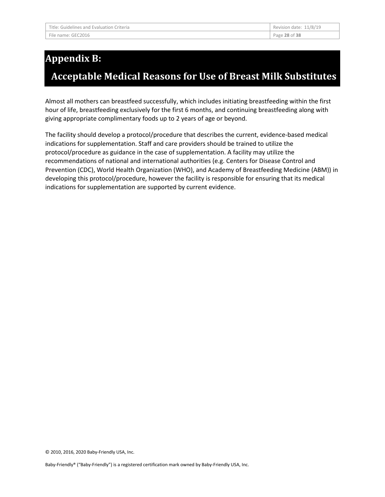# **Appendix B:**

# **Acceptable Medical Reasons for Use of Breast Milk Substitutes**

Almost all mothers can breastfeed successfully, which includes initiating breastfeeding within the first hour of life, breastfeeding exclusively for the first 6 months, and continuing breastfeeding along with giving appropriate complimentary foods up to 2 years of age or beyond.

The facility should develop a protocol/procedure that describes the current, evidence-based medical indications for supplementation. Staff and care providers should be trained to utilize the protocol/procedure as guidance in the case of supplementation. A facility may utilize the recommendations of national and international authorities (e.g. Centers for Disease Control and Prevention (CDC), World Health Organization (WHO), and Academy of Breastfeeding Medicine (ABM)) in developing this protocol/procedure, however the facility is responsible for ensuring that its medical indications for supplementation are supported by current evidence.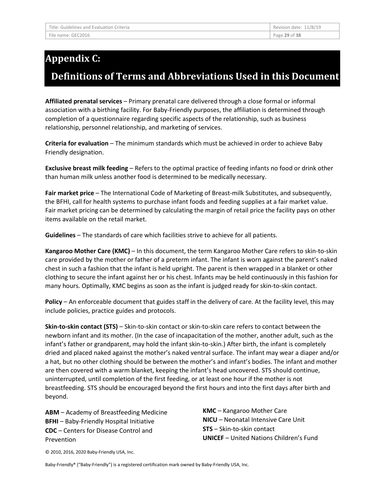# **Appendix C:**

## **Definitions of Terms and Abbreviations Used in this Document**

**Affiliated prenatal services** – Primary prenatal care delivered through a close formal or informal association with a birthing facility. For Baby-Friendly purposes, the affiliation is determined through completion of a questionnaire regarding specific aspects of the relationship, such as business relationship, personnel relationship, and marketing of services.

**Criteria for evaluation** – The minimum standards which must be achieved in order to achieve Baby Friendly designation.

**Exclusive breast milk feeding** – Refers to the optimal practice of feeding infants no food or drink other than human milk unless another food is determined to be medically necessary.

**Fair market price** – The International Code of Marketing of Breast-milk Substitutes, and subsequently, the BFHI, call for health systems to purchase infant foods and feeding supplies at a fair market value. Fair market pricing can be determined by calculating the margin of retail price the facility pays on other items available on the retail market.

**Guidelines** – The standards of care which facilities strive to achieve for all patients.

**Kangaroo Mother Care (KMC)** – In this document, the term Kangaroo Mother Care refers to skin-to-skin care provided by the mother or father of a preterm infant. The infant is worn against the parent's naked chest in such a fashion that the infant is held upright. The parent is then wrapped in a blanket or other clothing to secure the infant against her or his chest. Infants may be held continuously in this fashion for many hours. Optimally, KMC begins as soon as the infant is judged ready for skin-to-skin contact.

**Policy** – An enforceable document that guides staff in the delivery of care. At the facility level, this may include policies, practice guides and protocols.

**Skin-to-skin contact (STS)** – Skin-to-skin contact or skin-to-skin care refers to contact between the newborn infant and its mother. (In the case of incapacitation of the mother, another adult, such as the infant's father or grandparent, may hold the infant skin-to-skin.) After birth, the infant is completely dried and placed naked against the mother's naked ventral surface. The infant may wear a diaper and/or a hat, but no other clothing should be between the mother's and infant's bodies. The infant and mother are then covered with a warm blanket, keeping the infant's head uncovered. STS should continue, uninterrupted, until completion of the first feeding, or at least one hour if the mother is not breastfeeding. STS should be encouraged beyond the first hours and into the first days after birth and beyond.

**ABM** – Academy of Breastfeeding Medicine **BFHI** – Baby-Friendly Hospital Initiative **CDC** – Centers for Disease Control and Prevention

**KMC** – Kangaroo Mother Care **NICU** – Neonatal Intensive Care Unit **STS** – Skin-to-skin contact **UNICEF** – United Nations Children's Fund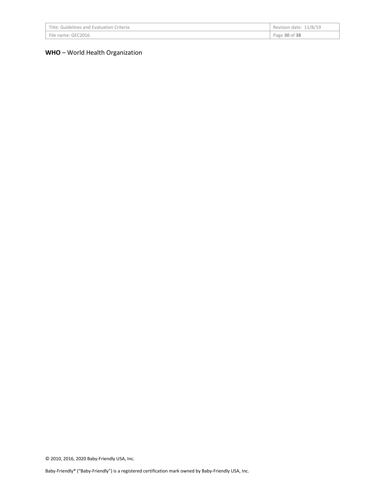| Title: Guidelines and Evaluation Criteria | Revision date: 11/8/19 |
|-------------------------------------------|------------------------|
| File name: GEC2016                        | Page 30 of 38          |

#### **WHO** – World Health Organization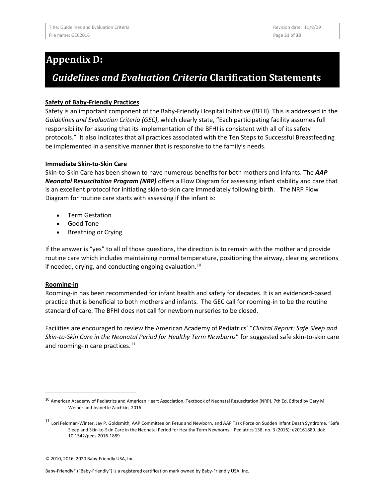# **Appendix D:**

# *Guidelines and Evaluation Criteria* **Clarification Statements**

#### **Safety of Baby-Friendly Practices**

Safety is an important component of the Baby-Friendly Hospital Initiative (BFHI). This is addressed in the *Guidelines and Evaluation Criteria (GEC)*, which clearly state, "Each participating facility assumes full responsibility for assuring that its implementation of the BFHI is consistent with all of its safety protocols." It also indicates that all practices associated with the Ten Steps to Successful Breastfeeding be implemented in a sensitive manner that is responsive to the family's needs.

#### **Immediate Skin-to-Skin Care**

Skin-to-Skin Care has been shown to have numerous benefits for both mothers and infants. The *AAP Neonatal Resuscitation Program (NRP)* offers a Flow Diagram for assessing infant stability and care that is an excellent protocol for initiating skin-to-skin care immediately following birth. The NRP Flow Diagram for routine care starts with assessing if the infant is:

- Term Gestation
- Good Tone
- Breathing or Crying

If the answer is "yes" to all of those questions, the direction is to remain with the mother and provide routine care which includes maintaining normal temperature, positioning the airway, clearing secretions if needed, drying, and conducting ongoing evaluation. $10$ 

#### **Rooming-in**

Rooming-in has been recommended for infant health and safety for decades. It is an evidenced-based practice that is beneficial to both mothers and infants. The GEC call for rooming-in to be the routine standard of care. The BFHI does not call for newborn nurseries to be closed.

Facilities are encouraged to review the American Academy of Pediatrics' "*Clinical Report: Safe Sleep and Skin-to-Skin Care in the Neonatal Period for Healthy Term Newborns*" for suggested safe skin-to-skin care and rooming-in care practices.<sup>[11](#page-30-1)</sup>

<span id="page-30-0"></span><sup>&</sup>lt;sup>10</sup> American Academy of Pediatrics and American Heart Association, Textbook of Neonatal Resuscitation (NRP), 7th Ed, Edited by Gary M. Weiner and Jeanette Zaichkin, 2016.

<span id="page-30-1"></span><sup>&</sup>lt;sup>11</sup> Lori Feldman-Winter, Jay P. Goldsmith, AAP Committee on Fetus and Newborn, and AAP Task Force on Sudden Infant Death Syndrome. "Safe Sleep and Skin-to-Skin Care in the Neonatal Period for Healthy Term Newborns." Pediatrics 138, no. 3 (2016): e20161889. doi: 10.1542/peds.2016-1889

<sup>© 2010, 2016, 2020</sup> Baby-Friendly USA, Inc.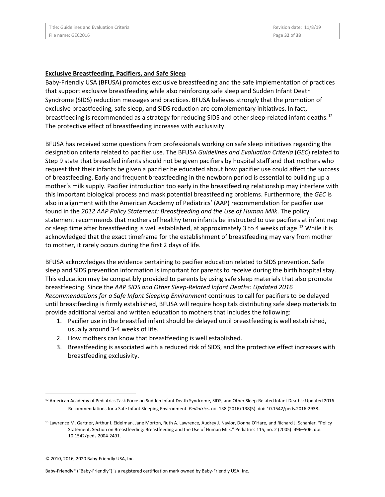#### **Exclusive Breastfeeding, Pacifiers, and Safe Sleep**

Baby-Friendly USA (BFUSA) promotes exclusive breastfeeding and the safe implementation of practices that support exclusive breastfeeding while also reinforcing safe sleep and Sudden Infant Death Syndrome (SIDS) reduction messages and practices. BFUSA believes strongly that the promotion of exclusive breastfeeding, safe sleep, and SIDS reduction are complementary initiatives. In fact, breastfeeding is recommended as a strategy for reducing SIDS and other sleep-related infant deaths.<sup>[12](#page-31-0)</sup> The protective effect of breastfeeding increases with exclusivity.

BFUSA has received some questions from professionals working on safe sleep initiatives regarding the designation criteria related to pacifier use. The BFUSA *Guidelines and Evaluation Criteria* (*GEC*) related to Step 9 state that breastfed infants should not be given pacifiers by hospital staff and that mothers who request that their infants be given a pacifier be educated about how pacifier use could affect the success of breastfeeding. Early and frequent breastfeeding in the newborn period is essential to building up a mother's milk supply. Pacifier introduction too early in the breastfeeding relationship may interfere with this important biological process and mask potential breastfeeding problems. Furthermore, the *GEC* is also in alignment with the American Academy of Pediatrics' (AAP) recommendation for pacifier use found in the *2012 AAP Policy Statement: Breastfeeding and the Use of Human Milk*. The policy statement recommends that mothers of healthy term infants be instructed to use pacifiers at infant nap or sleep time after breastfeeding is well established, at approximately 3 to 4 weeks of age.<sup>[13](#page-31-1)</sup> While it is acknowledged that the exact timeframe for the establishment of breastfeeding may vary from mother to mother, it rarely occurs during the first 2 days of life.

BFUSA acknowledges the evidence pertaining to pacifier education related to SIDS prevention. Safe sleep and SIDS prevention information is important for parents to receive during the birth hospital stay. This education may be compatibly provided to parents by using safe sleep materials that also promote breastfeeding. Since the *AAP SIDS and Other Sleep-Related Infant Deaths: Updated 2016 Recommendations for a Safe Infant Sleeping Environment* continues to call for pacifiers to be delayed until breastfeeding is firmly established, BFUSA will require hospitals distributing safe sleep materials to provide additional verbal and written education to mothers that includes the following:

- 1. Pacifier use in the breastfed infant should be delayed until breastfeeding is well established, usually around 3-4 weeks of life.
- 2. How mothers can know that breastfeeding is well established.
- 3. Breastfeeding is associated with a reduced risk of SIDS, and the protective effect increases with breastfeeding exclusivity.

<span id="page-31-0"></span> <sup>12</sup> American Academy of Pediatrics Task Force on Sudden Infant Death Syndrome, SIDS, and Other Sleep-Related Infant Deaths: Updated 2016 Recommendations for a Safe Infant Sleeping Environment. *Pediatrics*. no. 138 (2016) 138(5). doi: 10.1542/peds.2016-2938.

<span id="page-31-1"></span><sup>&</sup>lt;sup>13</sup> Lawrence M. Gartner, Arthur I. Eidelman, Jane Morton, Ruth A. Lawrence, Audrey J. Naylor, Donna O'Hare, and Richard J. Schanler. "Policy Statement, Section on Breastfeeding: Breastfeeding and the Use of Human Milk." Pediatrics 115, no. 2 (2005): 496–506. doi: 10.1542/peds.2004-2491.

<sup>© 2010, 2016, 2020</sup> Baby-Friendly USA, Inc.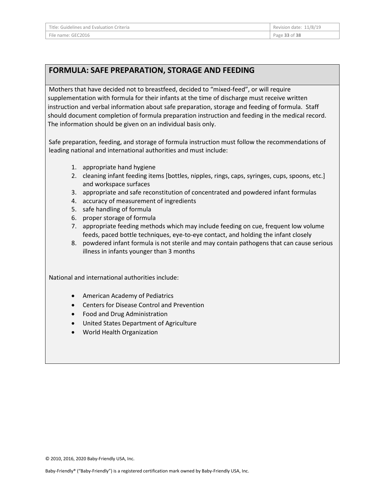### **FORMULA: SAFE PREPARATION, STORAGE AND FEEDING**

Mothers that have decided not to breastfeed, decided to "mixed-feed", or will require supplementation with formula for their infants at the time of discharge must receive written instruction and verbal information about safe preparation, storage and feeding of formula. Staff should document completion of formula preparation instruction and feeding in the medical record. The information should be given on an individual basis only.

Safe preparation, feeding, and storage of formula instruction must follow the recommendations of leading national and international authorities and must include:

- 1. appropriate hand hygiene
- 2. cleaning infant feeding items [bottles, nipples, rings, caps, syringes, cups, spoons, etc.] and workspace surfaces
- 3. appropriate and safe reconstitution of concentrated and powdered infant formulas
- 4. accuracy of measurement of ingredients
- 5. safe handling of formula
- 6. proper storage of formula
- 7. appropriate feeding methods which may include feeding on cue, frequent low volume feeds, paced bottle techniques, eye-to-eye contact, and holding the infant closely
- 8. powdered infant formula is not sterile and may contain pathogens that can cause serious illness in infants younger than 3 months

National and international authorities include:

- American Academy of Pediatrics
- Centers for Disease Control and Prevention
- Food and Drug Administration
- United States Department of Agriculture
- World Health Organization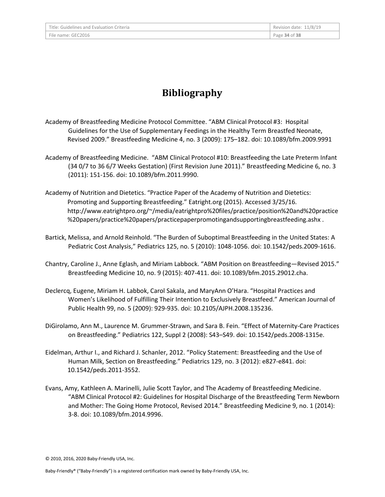# **Bibliography**

- Academy of Breastfeeding Medicine Protocol Committee. "ABM Clinical Protocol #3: Hospital Guidelines for the Use of Supplementary Feedings in the Healthy Term Breastfed Neonate, Revised 2009." Breastfeeding Medicine 4, no. 3 (2009): 175–182. doi: 10.1089/bfm.2009.9991
- Academy of Breastfeeding Medicine. "ABM Clinical Protocol #10: Breastfeeding the Late Preterm Infant (34 0/7 to 36 6/7 Weeks Gestation) (First Revision June 2011)." Breastfeeding Medicine 6, no. 3 (2011): 151-156. doi: 10.1089/bfm.2011.9990.
- Academy of Nutrition and Dietetics. "Practice Paper of the Academy of Nutrition and Dietetics: Promoting and Supporting Breastfeeding." Eatright.org (2015). Accessed 3/25/16. http://www.eatrightpro.org/~/media/eatrightpro%20files/practice/position%20and%20practice %20papers/practice%20papers/practicepaperpromotingandsupportingbreastfeeding.ashx .
- Bartick, Melissa, and Arnold Reinhold. "The Burden of Suboptimal Breastfeeding in the United States: A Pediatric Cost Analysis," Pediatrics 125, no. 5 (2010): 1048-1056. doi: 10.1542/peds.2009-1616.
- Chantry, Caroline J., Anne Eglash, and Miriam Labbock. "ABM Position on Breastfeeding—Revised 2015." Breastfeeding Medicine 10, no. 9 (2015): 407-411. doi: 10.1089/bfm.2015.29012.cha.
- Declercq, Eugene, Miriam H. Labbok, Carol Sakala, and MaryAnn O'Hara. "Hospital Practices and Women's Likelihood of Fulfilling Their Intention to Exclusively Breastfeed." American Journal of Public Health 99, no. 5 (2009): 929-935. doi: 10.2105/AJPH.2008.135236.
- DiGirolamo, Ann M., Laurence M. Grummer-Strawn, and Sara B. Fein. "Effect of Maternity-Care Practices on Breastfeeding." Pediatrics 122, Suppl 2 (2008): S43–S49. doi: 10.1542/peds.2008-1315e.
- Eidelman, Arthur I., and Richard J. Schanler, 2012. "Policy Statement: Breastfeeding and the Use of Human Milk, Section on Breastfeeding." Pediatrics 129, no. 3 (2012): e827-e841. doi: 10.1542/peds.2011-3552.
- Evans, Amy, Kathleen A. Marinelli, Julie Scott Taylor, and The Academy of Breastfeeding Medicine. "ABM Clinical Protocol #2: Guidelines for Hospital Discharge of the Breastfeeding Term Newborn and Mother: The Going Home Protocol, Revised 2014." Breastfeeding Medicine 9, no. 1 (2014): 3-8. doi: 10.1089/bfm.2014.9996.

<sup>© 2010, 2016, 2020</sup> Baby-Friendly USA, Inc.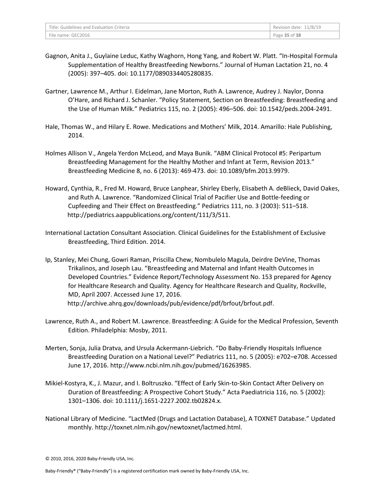| Title: Guidelines and Evaluation Criteria | Revision date: 11/8/19 |
|-------------------------------------------|------------------------|
| File name: GEC2016                        | Page 35 of 38          |

- Gagnon, Anita J., Guylaine Leduc, Kathy Waghorn, Hong Yang, and Robert W. Platt. "In-Hospital Formula Supplementation of Healthy Breastfeeding Newborns." Journal of Human Lactation 21, no. 4 (2005): 397–405. doi: 10.1177/0890334405280835.
- Gartner, Lawrence M., Arthur I. Eidelman, Jane Morton, Ruth A. Lawrence, Audrey J. Naylor, Donna O'Hare, and Richard J. Schanler. "Policy Statement, Section on Breastfeeding: Breastfeeding and the Use of Human Milk." Pediatrics 115, no. 2 (2005): 496–506. doi: 10.1542/peds.2004-2491.
- Hale, Thomas W., and Hilary E. Rowe. Medications and Mothers' Milk, 2014. Amarillo: Hale Publishing, 2014.
- Holmes Allison V., Angela Yerdon McLeod, and Maya Bunik. "ABM Clinical Protocol #5: Peripartum Breastfeeding Management for the Healthy Mother and Infant at Term, Revision 2013." Breastfeeding Medicine 8, no. 6 (2013): 469-473. doi: 10.1089/bfm.2013.9979.
- Howard, Cynthia, R., Fred M. Howard, Bruce Lanphear, Shirley Eberly, Elisabeth A. deBlieck, David Oakes, and Ruth A. Lawrence. "Randomized Clinical Trial of Pacifier Use and Bottle-feeding or Cupfeeding and Their Effect on Breastfeeding." Pediatrics 111, no. 3 (2003): 511–518. http://pediatrics.aappublications.org/content/111/3/511.
- International Lactation Consultant Association. Clinical Guidelines for the Establishment of Exclusive Breastfeeding, Third Edition. 2014.
- Ip, Stanley, Mei Chung, Gowri Raman, Priscilla Chew, Nombulelo Magula, Deirdre DeVine, Thomas Trikalinos, and Joseph Lau. "Breastfeeding and Maternal and Infant Health Outcomes in Developed Countries." Evidence Report/Technology Assessment No. 153 prepared for Agency for Healthcare Research and Quality. Agency for Healthcare Research and Quality, Rockville, MD, April 2007. Accessed June 17, 2016. http://archive.ahrq.gov/downloads/pub/evidence/pdf/brfout/brfout.pdf.
- Lawrence, Ruth A., and Robert M. Lawrence. Breastfeeding: A Guide for the Medical Profession, Seventh Edition. Philadelphia: Mosby, 2011.
- Merten, Sonja, Julia Dratva, and Ursula Ackermann-Liebrich. "Do Baby-Friendly Hospitals Influence Breastfeeding Duration on a National Level?" Pediatrics 111, no. 5 (2005): e702–e708. Accessed June 17, 2016. http://www.ncbi.nlm.nih.gov/pubmed/16263985.
- Mikiel-Kostyra, K., J. Mazur, and I. Boltruszko. "Effect of Early Skin-to-Skin Contact After Delivery on Duration of Breastfeeding: A Prospective Cohort Study." Acta Paediatricia 116, no. 5 (2002): 1301–1306. doi: 10.1111/j.1651-2227.2002.tb02824.x.
- National Library of Medicine. "LactMed (Drugs and Lactation Database), A TOXNET Database." Updated monthly. http://toxnet.nlm.nih.gov/newtoxnet/lactmed.html.

<sup>© 2010, 2016, 2020</sup> Baby-Friendly USA, Inc.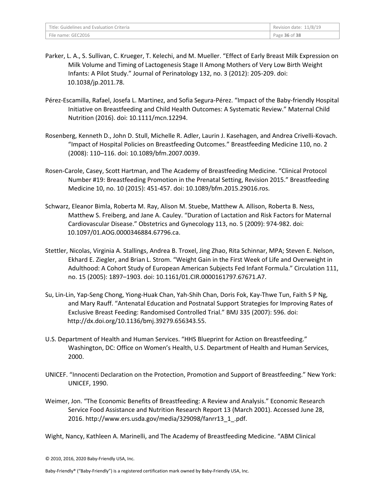- Parker, L. A., S. Sullivan, C. Krueger, T. Kelechi, and M. Mueller. "Effect of Early Breast Milk Expression on Milk Volume and Timing of Lactogenesis Stage II Among Mothers of Very Low Birth Weight Infants: A Pilot Study." Journal of Perinatology 132, no. 3 (2012): 205-209. doi: 10.1038/jp.2011.78.
- Pérez-Escamilla, Rafael, Josefa L. Martinez, and Sofia Segura-Pérez. "Impact of the Baby-friendly Hospital Initiative on Breastfeeding and Child Health Outcomes: A Systematic Review." Maternal Child Nutrition (2016). doi: 10.1111/mcn.12294.
- Rosenberg, Kenneth D., John D. Stull, Michelle R. Adler, Laurin J. Kasehagen, and Andrea Crivelli-Kovach. "Impact of Hospital Policies on Breastfeeding Outcomes." Breastfeeding Medicine 110, no. 2 (2008): 110–116. doi: 10.1089/bfm.2007.0039.
- Rosen-Carole, Casey, Scott Hartman, and The Academy of Breastfeeding Medicine. "Clinical Protocol Number #19: Breastfeeding Promotion in the Prenatal Setting, Revision 2015." Breastfeeding Medicine 10, no. 10 (2015): 451-457. doi: 10.1089/bfm.2015.29016.ros.
- Schwarz, Eleanor Bimla, Roberta M. Ray, Alison M. Stuebe, Matthew A. Allison, Roberta B. Ness, Matthew S. Freiberg, and Jane A. Cauley. "Duration of Lactation and Risk Factors for Maternal Cardiovascular Disease." Obstetrics and Gynecology 113, no. 5 (2009): 974-982. doi: 10.1097/01.AOG.0000346884.67796.ca.
- Stettler, Nicolas, Virginia A. Stallings, Andrea B. Troxel, Jing Zhao, Rita Schinnar, MPA; Steven E. Nelson, Ekhard E. Ziegler, and Brian L. Strom. "Weight Gain in the First Week of Life and Overweight in Adulthood: A Cohort Study of European American Subjects Fed Infant Formula." Circulation 111, no. 15 (2005): 1897–1903. doi: 10.1161/01.CIR.0000161797.67671.A7.
- Su, Lin-Lin, Yap-Seng Chong, Yiong-Huak Chan, Yah-Shih Chan, Doris Fok, Kay-Thwe Tun, Faith S P Ng, and Mary Rauff. "Antenatal Education and Postnatal Support Strategies for Improving Rates of Exclusive Breast Feeding: Randomised Controlled Trial." BMJ 335 (2007): 596. doi: http://dx.doi.org/10.1136/bmj.39279.656343.55.
- U.S. Department of Health and Human Services. "HHS Blueprint for Action on Breastfeeding." Washington, DC: Office on Women's Health, U.S. Department of Health and Human Services, 2000.
- UNICEF. "Innocenti Declaration on the Protection, Promotion and Support of Breastfeeding." New York: UNICEF, 1990.
- Weimer, Jon. "The Economic Benefits of Breastfeeding: A Review and Analysis." Economic Research Service Food Assistance and Nutrition Research Report 13 (March 2001). Accessed June 28, 2016. http://www.ers.usda.gov/media/329098/fanrr13\_1\_.pdf.

Wight, Nancy, Kathleen A. Marinelli, and The Academy of Breastfeeding Medicine. "ABM Clinical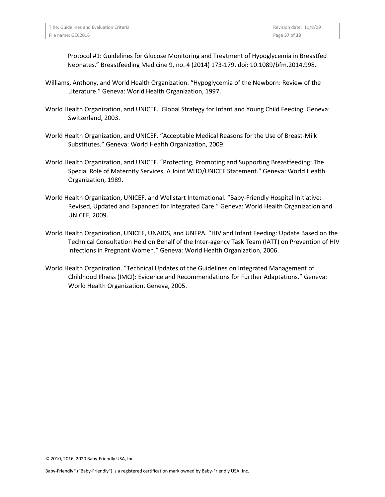| Title: Guidelines and Evaluation Criteria | Revision date: 11/8/19 |
|-------------------------------------------|------------------------|
| File name: GEC2016                        | Page 37 of 38          |

Protocol #1: Guidelines for Glucose Monitoring and Treatment of Hypoglycemia in Breastfed Neonates." Breastfeeding Medicine 9, no. 4 (2014) 173-179. doi: 10.1089/bfm.2014.998.

- Williams, Anthony, and World Health Organization. "Hypoglycemia of the Newborn: Review of the Literature." Geneva: World Health Organization, 1997.
- World Health Organization, and UNICEF. Global Strategy for Infant and Young Child Feeding. Geneva: Switzerland, 2003.
- World Health Organization, and UNICEF. "Acceptable Medical Reasons for the Use of Breast-Milk Substitutes." Geneva: World Health Organization, 2009.
- World Health Organization, and UNICEF. "Protecting, Promoting and Supporting Breastfeeding: The Special Role of Maternity Services, A Joint WHO/UNICEF Statement." Geneva: World Health Organization, 1989.
- World Health Organization, UNICEF, and Wellstart International. "Baby-Friendly Hospital Initiative: Revised, Updated and Expanded for Integrated Care." Geneva: World Health Organization and UNICEF, 2009.
- World Health Organization, UNICEF, UNAIDS, and UNFPA. "HIV and Infant Feeding: Update Based on the Technical Consultation Held on Behalf of the Inter-agency Task Team (IATT) on Prevention of HIV Infections in Pregnant Women." Geneva: World Health Organization, 2006.
- World Health Organization. "Technical Updates of the Guidelines on Integrated Management of Childhood Illness (IMCI): Evidence and Recommendations for Further Adaptations." Geneva: World Health Organization, Geneva, 2005.